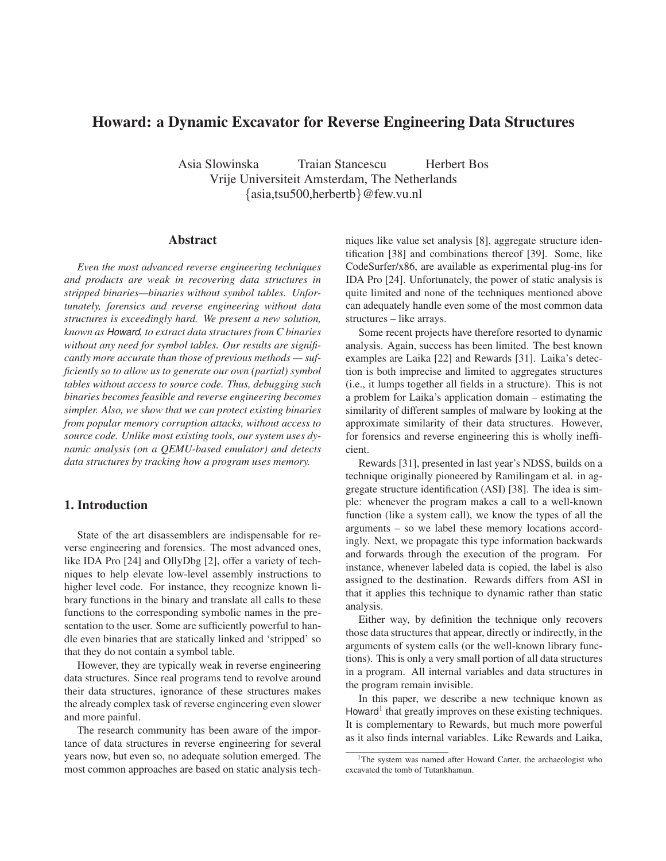# **Howard: a Dynamic Excavator for Reverse Engineering Data Structures**

Asia Slowinska Traian Stancescu Herbert Bos Vrije Universiteit Amsterdam, The Netherlands {asia,tsu500,herbertb}@few.vu.nl

## **Abstract**

*Even the most advanced reverse engineering techniques and products are weak in recovering data structures in stripped binaries—binaries without symbol tables. Unfortunately, forensics and reverse engineering without data structures is exceedingly hard. We present a new solution, known as* Howard*, to extract data structures from C binaries without any need for symbol tables. Our results are significantly more accurate than those of previous methods — sufficiently so to allow us to generate our own (partial) symbol tables without access to source code. Thus, debugging such binaries becomes feasible and reverse engineering becomes simpler. Also, we show that we can protect existing binaries from popular memory corruption attacks, without access to source code. Unlike most existing tools, our system uses dynamic analysis (on a QEMU-based emulator) and detects data structures by tracking how a program uses memory.*

## **1. Introduction**

State of the art disassemblers are indispensable for reverse engineering and forensics. The most advanced ones, like IDA Pro [24] and OllyDbg [2], offer a variety of techniques to help elevate low-level assembly instructions to higher level code. For instance, they recognize known library functions in the binary and translate all calls to these functions to the corresponding symbolic names in the presentation to the user. Some are sufficiently powerful to handle even binaries that are statically linked and 'stripped' so that they do not contain a symbol table.

However, they are typically weak in reverse engineering data structures. Since real programs tend to revolve around their data structures, ignorance of these structures makes the already complex task of reverse engineering even slower and more painful.

The research community has been aware of the importance of data structures in reverse engineering for several years now, but even so, no adequate solution emerged. The most common approaches are based on static analysis techniques like value set analysis [8], aggregate structure identification [38] and combinations thereof [39]. Some, like CodeSurfer/x86, are available as experimental plug-ins for IDA Pro [24]. Unfortunately, the power of static analysis is quite limited and none of the techniques mentioned above can adequately handle even some of the most common data structures – like arrays.

Some recent projects have therefore resorted to dynamic analysis. Again, success has been limited. The best known examples are Laika [22] and Rewards [31]. Laika's detection is both imprecise and limited to aggregates structures (i.e., it lumps together all fields in a structure). This is not a problem for Laika's application domain – estimating the similarity of different samples of malware by looking at the approximate similarity of their data structures. However, for forensics and reverse engineering this is wholly inefficient.

Rewards [31], presented in last year's NDSS, builds on a technique originally pioneered by Ramilingam et al. in aggregate structure identification (ASI) [38]. The idea is simple: whenever the program makes a call to a well-known function (like a system call), we know the types of all the arguments – so we label these memory locations accordingly. Next, we propagate this type information backwards and forwards through the execution of the program. For instance, whenever labeled data is copied, the label is also assigned to the destination. Rewards differs from ASI in that it applies this technique to dynamic rather than static analysis.

Either way, by definition the technique only recovers those data structures that appear, directly or indirectly, in the arguments of system calls (or the well-known library functions). This is only a very small portion of all data structures in a program. All internal variables and data structures in the program remain invisible.

In this paper, we describe a new technique known as Howard<sup>1</sup> that greatly improves on these existing techniques. It is complementary to Rewards, but much more powerful as it also finds internal variables. Like Rewards and Laika,

<sup>&</sup>lt;sup>1</sup>The system was named after Howard Carter, the archaeologist who excavated the tomb of Tutankhamun.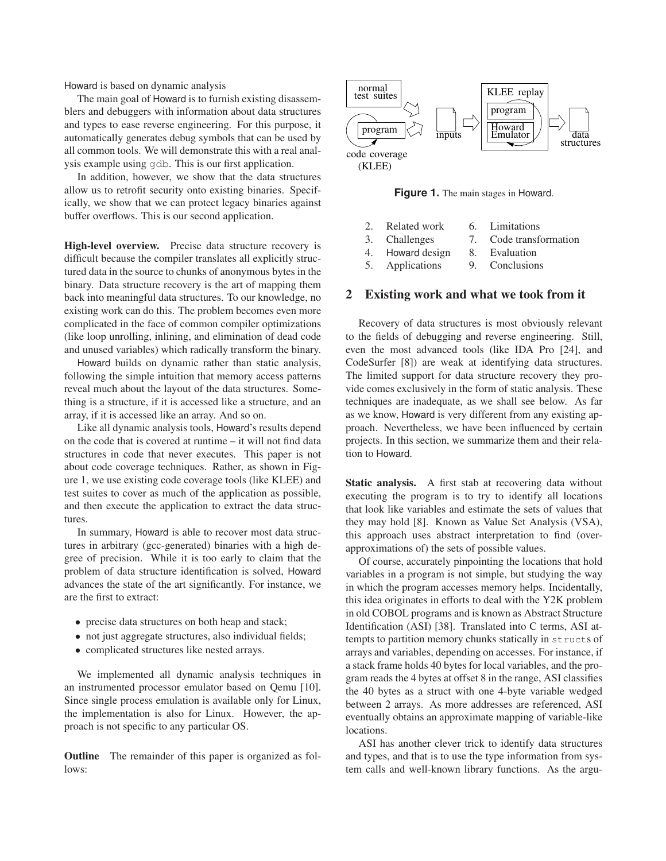Howard is based on dynamic analysis

The main goal of Howard is to furnish existing disassemblers and debuggers with information about data structures and types to ease reverse engineering. For this purpose, it automatically generates debug symbols that can be used by all common tools. We will demonstrate this with a real analysis example using gdb. This is our first application.

In addition, however, we show that the data structures allow us to retrofit security onto existing binaries. Specifically, we show that we can protect legacy binaries against buffer overflows. This is our second application.

**High-level overview.** Precise data structure recovery is difficult because the compiler translates all explicitly structured data in the source to chunks of anonymous bytes in the binary. Data structure recovery is the art of mapping them back into meaningful data structures. To our knowledge, no existing work can do this. The problem becomes even more complicated in the face of common compiler optimizations (like loop unrolling, inlining, and elimination of dead code and unused variables) which radically transform the binary.

Howard builds on dynamic rather than static analysis, following the simple intuition that memory access patterns reveal much about the layout of the data structures. Something is a structure, if it is accessed like a structure, and an array, if it is accessed like an array. And so on.

Like all dynamic analysis tools, Howard's results depend on the code that is covered at runtime – it will not find data structures in code that never executes. This paper is not about code coverage techniques. Rather, as shown in Figure 1, we use existing code coverage tools (like KLEE) and test suites to cover as much of the application as possible, and then execute the application to extract the data structures.

In summary, Howard is able to recover most data structures in arbitrary (gcc-generated) binaries with a high degree of precision. While it is too early to claim that the problem of data structure identification is solved, Howard advances the state of the art significantly. For instance, we are the first to extract:

- precise data structures on both heap and stack;
- not just aggregate structures, also individual fields;
- complicated structures like nested arrays.

We implemented all dynamic analysis techniques in an instrumented processor emulator based on Qemu [10]. Since single process emulation is available only for Linux, the implementation is also for Linux. However, the approach is not specific to any particular OS.

**Outline** The remainder of this paper is organized as follows:



**Figure 1.** The main stages in Howard.

- 2. Related work 6. Limitations
- 3. Challenges 7. Code transformation
- 4. Howard design 8. Evaluation
- 5. Applications 9. Conclusions

## **2 Existing work and what we took from it**

Recovery of data structures is most obviously relevant to the fields of debugging and reverse engineering. Still, even the most advanced tools (like IDA Pro [24], and CodeSurfer [8]) are weak at identifying data structures. The limited support for data structure recovery they provide comes exclusively in the form of static analysis. These techniques are inadequate, as we shall see below. As far as we know, Howard is very different from any existing approach. Nevertheless, we have been influenced by certain projects. In this section, we summarize them and their relation to Howard.

**Static analysis.** A first stab at recovering data without executing the program is to try to identify all locations that look like variables and estimate the sets of values that they may hold [8]. Known as Value Set Analysis (VSA), this approach uses abstract interpretation to find (overapproximations of) the sets of possible values.

Of course, accurately pinpointing the locations that hold variables in a program is not simple, but studying the way in which the program accesses memory helps. Incidentally, this idea originates in efforts to deal with the Y2K problem in old COBOL programs and is known as Abstract Structure Identification (ASI) [38]. Translated into C terms, ASI attempts to partition memory chunks statically in structs of arrays and variables, depending on accesses. For instance, if a stack frame holds 40 bytes for local variables, and the program reads the 4 bytes at offset 8 in the range, ASI classifies the 40 bytes as a struct with one 4-byte variable wedged between 2 arrays. As more addresses are referenced, ASI eventually obtains an approximate mapping of variable-like locations.

ASI has another clever trick to identify data structures and types, and that is to use the type information from system calls and well-known library functions. As the argu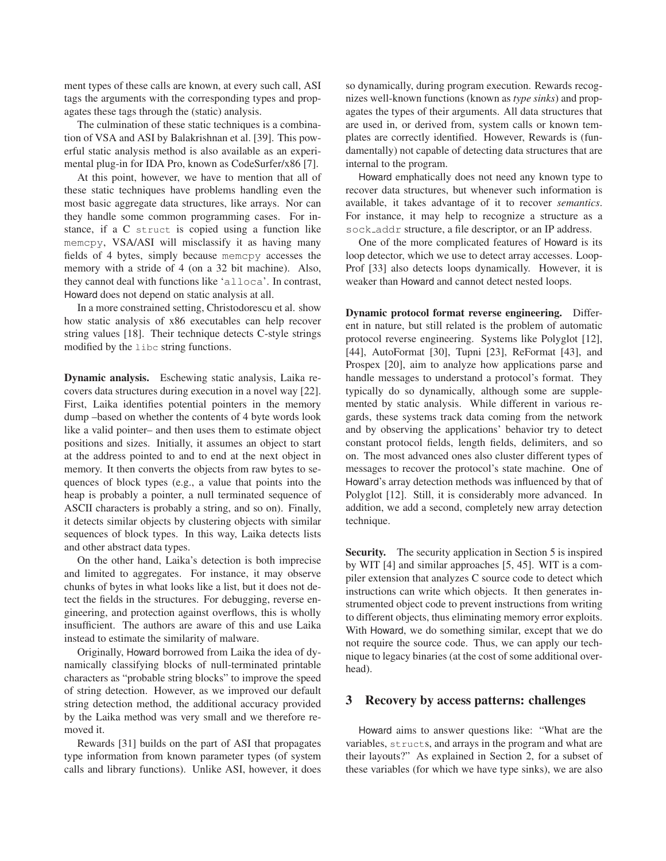ment types of these calls are known, at every such call, ASI tags the arguments with the corresponding types and propagates these tags through the (static) analysis.

The culmination of these static techniques is a combination of VSA and ASI by Balakrishnan et al. [39]. This powerful static analysis method is also available as an experimental plug-in for IDA Pro, known as CodeSurfer/x86 [7].

At this point, however, we have to mention that all of these static techniques have problems handling even the most basic aggregate data structures, like arrays. Nor can they handle some common programming cases. For instance, if a C struct is copied using a function like memcpy, VSA/ASI will misclassify it as having many fields of 4 bytes, simply because memcpy accesses the memory with a stride of 4 (on a 32 bit machine). Also, they cannot deal with functions like 'alloca'. In contrast, Howard does not depend on static analysis at all.

In a more constrained setting, Christodorescu et al. show how static analysis of x86 executables can help recover string values [18]. Their technique detects C-style strings modified by the libc string functions.

**Dynamic analysis.** Eschewing static analysis, Laika recovers data structures during execution in a novel way [22]. First, Laika identifies potential pointers in the memory dump –based on whether the contents of 4 byte words look like a valid pointer– and then uses them to estimate object positions and sizes. Initially, it assumes an object to start at the address pointed to and to end at the next object in memory. It then converts the objects from raw bytes to sequences of block types (e.g., a value that points into the heap is probably a pointer, a null terminated sequence of ASCII characters is probably a string, and so on). Finally, it detects similar objects by clustering objects with similar sequences of block types. In this way, Laika detects lists and other abstract data types.

On the other hand, Laika's detection is both imprecise and limited to aggregates. For instance, it may observe chunks of bytes in what looks like a list, but it does not detect the fields in the structures. For debugging, reverse engineering, and protection against overflows, this is wholly insufficient. The authors are aware of this and use Laika instead to estimate the similarity of malware.

Originally, Howard borrowed from Laika the idea of dynamically classifying blocks of null-terminated printable characters as "probable string blocks" to improve the speed of string detection. However, as we improved our default string detection method, the additional accuracy provided by the Laika method was very small and we therefore removed it.

Rewards [31] builds on the part of ASI that propagates type information from known parameter types (of system calls and library functions). Unlike ASI, however, it does so dynamically, during program execution. Rewards recognizes well-known functions (known as *type sinks*) and propagates the types of their arguments. All data structures that are used in, or derived from, system calls or known templates are correctly identified. However, Rewards is (fundamentally) not capable of detecting data structures that are internal to the program.

Howard emphatically does not need any known type to recover data structures, but whenever such information is available, it takes advantage of it to recover *semantics*. For instance, it may help to recognize a structure as a sock addr structure, a file descriptor, or an IP address.

One of the more complicated features of Howard is its loop detector, which we use to detect array accesses. Loop-Prof [33] also detects loops dynamically. However, it is weaker than Howard and cannot detect nested loops.

**Dynamic protocol format reverse engineering.** Different in nature, but still related is the problem of automatic protocol reverse engineering. Systems like Polyglot [12], [44], AutoFormat [30], Tupni [23], ReFormat [43], and Prospex [20], aim to analyze how applications parse and handle messages to understand a protocol's format. They typically do so dynamically, although some are supplemented by static analysis. While different in various regards, these systems track data coming from the network and by observing the applications' behavior try to detect constant protocol fields, length fields, delimiters, and so on. The most advanced ones also cluster different types of messages to recover the protocol's state machine. One of Howard's array detection methods was influenced by that of Polyglot [12]. Still, it is considerably more advanced. In addition, we add a second, completely new array detection technique.

**Security.** The security application in Section 5 is inspired by WIT [4] and similar approaches [5, 45]. WIT is a compiler extension that analyzes C source code to detect which instructions can write which objects. It then generates instrumented object code to prevent instructions from writing to different objects, thus eliminating memory error exploits. With Howard, we do something similar, except that we do not require the source code. Thus, we can apply our technique to legacy binaries (at the cost of some additional overhead).

## **3 Recovery by access patterns: challenges**

Howard aims to answer questions like: "What are the variables, structs, and arrays in the program and what are their layouts?" As explained in Section 2, for a subset of these variables (for which we have type sinks), we are also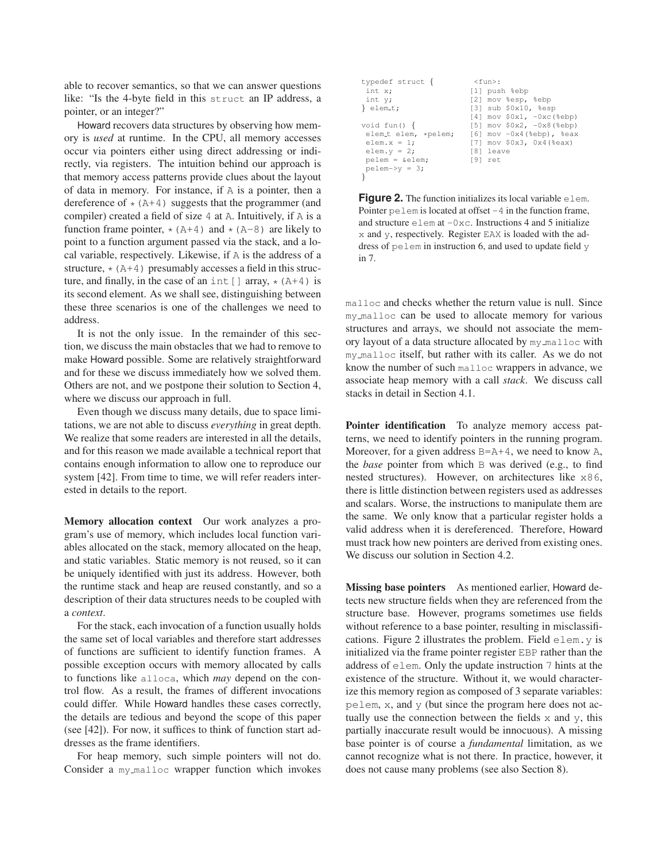able to recover semantics, so that we can answer questions like: "Is the 4-byte field in this struct an IP address, a pointer, or an integer?"

Howard recovers data structures by observing how memory is *used* at runtime. In the CPU, all memory accesses occur via pointers either using direct addressing or indirectly, via registers. The intuition behind our approach is that memory access patterns provide clues about the layout of data in memory. For instance, if A is a pointer, then a dereference of  $\star$  (A+4) suggests that the programmer (and compiler) created a field of size 4 at A. Intuitively, if A is a function frame pointer,  $\star$  (A+4) and  $\star$  (A-8) are likely to point to a function argument passed via the stack, and a local variable, respectively. Likewise, if A is the address of a structure,  $\star$  (A+4) presumably accesses a field in this structure, and finally, in the case of an int [] array,  $\star$  (A+4) is its second element. As we shall see, distinguishing between these three scenarios is one of the challenges we need to address.

It is not the only issue. In the remainder of this section, we discuss the main obstacles that we had to remove to make Howard possible. Some are relatively straightforward and for these we discuss immediately how we solved them. Others are not, and we postpone their solution to Section 4, where we discuss our approach in full.

Even though we discuss many details, due to space limitations, we are not able to discuss *everything* in great depth. We realize that some readers are interested in all the details, and for this reason we made available a technical report that contains enough information to allow one to reproduce our system [42]. From time to time, we will refer readers interested in details to the report.

**Memory allocation context** Our work analyzes a program's use of memory, which includes local function variables allocated on the stack, memory allocated on the heap, and static variables. Static memory is not reused, so it can be uniquely identified with just its address. However, both the runtime stack and heap are reused constantly, and so a description of their data structures needs to be coupled with a *context*.

For the stack, each invocation of a function usually holds the same set of local variables and therefore start addresses of functions are sufficient to identify function frames. A possible exception occurs with memory allocated by calls to functions like alloca, which *may* depend on the control flow. As a result, the frames of different invocations could differ. While Howard handles these cases correctly, the details are tedious and beyond the scope of this paper (see [42]). For now, it suffices to think of function start addresses as the frame identifiers.

For heap memory, such simple pointers will not do. Consider a my malloc wrapper function which invokes

| typedef struct {           | $<$ fun $>$ :                     |
|----------------------------|-----------------------------------|
| int x;                     | [1] push %ebp                     |
| int y;                     | [2] mov %esp, %ebp                |
| $\}$ elem_t;               | $[3]$ sub $$0x10, %esp$           |
|                            | [4] $mov$ $$0x1, -0xc$ ( $$ebp$ ) |
| void fun() $\{$            | $[5]$ mov $$0x2, -0x8$ ( $$ebp$ ) |
| elem_t elem, *pelem;       | $[6]$ mov $-0x4$ (%ebp), %eax     |
| elem. $x = 1$ ;            | [7] mov \$0x3, 0x4(%eax)          |
| elem. $y = 2;$             | [8] leave                         |
| $p$ elem = &elem           | [9] ret                           |
| $pelem \rightarrow v = 3;$ |                                   |
|                            |                                   |

**Figure 2.** The function initializes its local variable elem. Pointer pelem is located at offset -4 in the function frame, and structure  $e \text{lem at } -0 \times c$ . Instructions 4 and 5 initialize x and y, respectively. Register EAX is loaded with the address of pelem in instruction 6, and used to update field y in 7.

malloc and checks whether the return value is null. Since my malloc can be used to allocate memory for various structures and arrays, we should not associate the memory layout of a data structure allocated by my\_malloc with my malloc itself, but rather with its caller. As we do not know the number of such malloc wrappers in advance, we associate heap memory with a call *stack*. We discuss call stacks in detail in Section 4.1.

**Pointer identification** To analyze memory access patterns, we need to identify pointers in the running program. Moreover, for a given address  $B=A+4$ , we need to know A, the *base* pointer from which B was derived (e.g., to find nested structures). However, on architectures like x86, there is little distinction between registers used as addresses and scalars. Worse, the instructions to manipulate them are the same. We only know that a particular register holds a valid address when it is dereferenced. Therefore, Howard must track how new pointers are derived from existing ones. We discuss our solution in Section 4.2.

**Missing base pointers** As mentioned earlier, Howard detects new structure fields when they are referenced from the structure base. However, programs sometimes use fields without reference to a base pointer, resulting in misclassifications. Figure 2 illustrates the problem. Field elem.y is initialized via the frame pointer register EBP rather than the address of elem. Only the update instruction 7 hints at the existence of the structure. Without it, we would characterize this memory region as composed of 3 separate variables: pelem, x, and y (but since the program here does not actually use the connection between the fields  $x$  and  $y$ , this partially inaccurate result would be innocuous). A missing base pointer is of course a *fundamental* limitation, as we cannot recognize what is not there. In practice, however, it does not cause many problems (see also Section 8).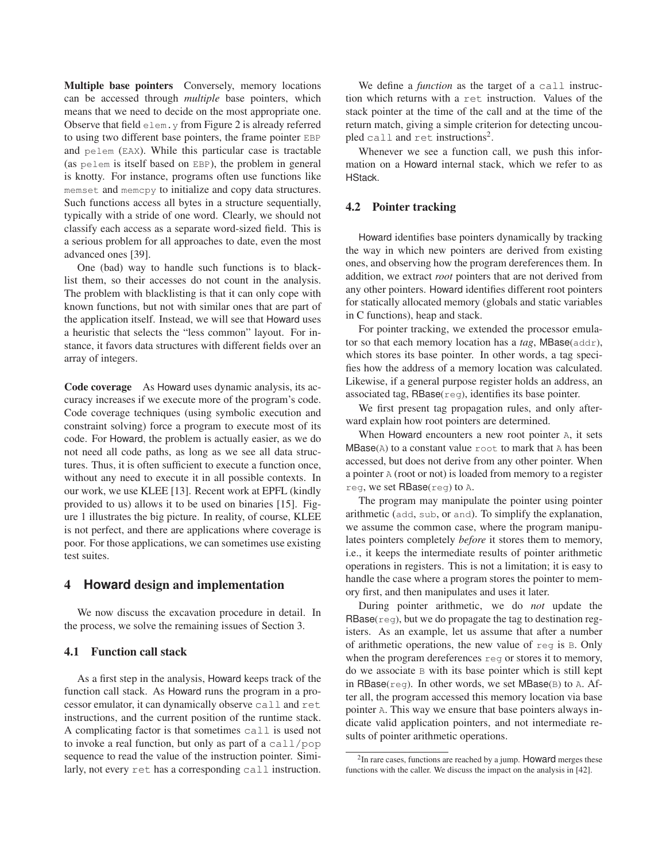**Multiple base pointers** Conversely, memory locations can be accessed through *multiple* base pointers, which means that we need to decide on the most appropriate one. Observe that field elem.y from Figure 2 is already referred to using two different base pointers, the frame pointer EBP and pelem (EAX). While this particular case is tractable (as pelem is itself based on EBP), the problem in general is knotty. For instance, programs often use functions like memset and memcpy to initialize and copy data structures. Such functions access all bytes in a structure sequentially, typically with a stride of one word. Clearly, we should not classify each access as a separate word-sized field. This is a serious problem for all approaches to date, even the most advanced ones [39].

One (bad) way to handle such functions is to blacklist them, so their accesses do not count in the analysis. The problem with blacklisting is that it can only cope with known functions, but not with similar ones that are part of the application itself. Instead, we will see that Howard uses a heuristic that selects the "less common" layout. For instance, it favors data structures with different fields over an array of integers.

**Code coverage** As Howard uses dynamic analysis, its accuracy increases if we execute more of the program's code. Code coverage techniques (using symbolic execution and constraint solving) force a program to execute most of its code. For Howard, the problem is actually easier, as we do not need all code paths, as long as we see all data structures. Thus, it is often sufficient to execute a function once, without any need to execute it in all possible contexts. In our work, we use KLEE [13]. Recent work at EPFL (kindly provided to us) allows it to be used on binaries [15]. Figure 1 illustrates the big picture. In reality, of course, KLEE is not perfect, and there are applications where coverage is poor. For those applications, we can sometimes use existing test suites.

## **4 Howard design and implementation**

We now discuss the excavation procedure in detail. In the process, we solve the remaining issues of Section 3.

## **4.1 Function call stack**

As a first step in the analysis, Howard keeps track of the function call stack. As Howard runs the program in a processor emulator, it can dynamically observe call and ret instructions, and the current position of the runtime stack. A complicating factor is that sometimes call is used not to invoke a real function, but only as part of a call/pop sequence to read the value of the instruction pointer. Similarly, not every ret has a corresponding call instruction.

We define a *function* as the target of a call instruction which returns with a ret instruction. Values of the stack pointer at the time of the call and at the time of the return match, giving a simple criterion for detecting uncoupled call and ret instructions<sup>2</sup>.

Whenever we see a function call, we push this information on a Howard internal stack, which we refer to as HStack.

### **4.2 Pointer tracking**

Howard identifies base pointers dynamically by tracking the way in which new pointers are derived from existing ones, and observing how the program dereferences them. In addition, we extract *root* pointers that are not derived from any other pointers. Howard identifies different root pointers for statically allocated memory (globals and static variables in C functions), heap and stack.

For pointer tracking, we extended the processor emulator so that each memory location has a *tag*, MBase(addr), which stores its base pointer. In other words, a tag specifies how the address of a memory location was calculated. Likewise, if a general purpose register holds an address, an associated tag, RBase(reg), identifies its base pointer.

We first present tag propagation rules, and only afterward explain how root pointers are determined.

When Howard encounters a new root pointer A, it sets  $MBase(A)$  to a constant value  $root$  to mark that A has been accessed, but does not derive from any other pointer. When a pointer A (root or not) is loaded from memory to a register reg, we set  $RBase$ (reg) to A.

The program may manipulate the pointer using pointer arithmetic (add, sub, or and). To simplify the explanation, we assume the common case, where the program manipulates pointers completely *before* it stores them to memory, i.e., it keeps the intermediate results of pointer arithmetic operations in registers. This is not a limitation; it is easy to handle the case where a program stores the pointer to memory first, and then manipulates and uses it later.

During pointer arithmetic, we do *not* update the  $RBase$ ( $req$ ), but we do propagate the tag to destination registers. As an example, let us assume that after a number of arithmetic operations, the new value of reg is B. Only when the program dereferences reg or stores it to memory, do we associate B with its base pointer which is still kept in RBase( $req$ ). In other words, we set MBase( $B$ ) to A. After all, the program accessed this memory location via base pointer A. This way we ensure that base pointers always indicate valid application pointers, and not intermediate results of pointer arithmetic operations.

 $2$ In rare cases, functions are reached by a jump. Howard merges these functions with the caller. We discuss the impact on the analysis in [42].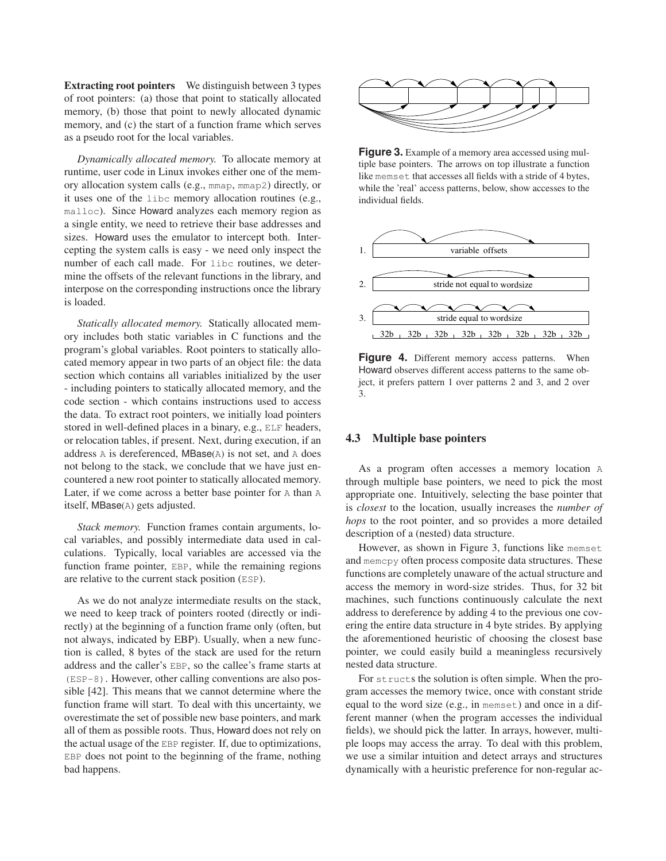**Extracting root pointers** We distinguish between 3 types of root pointers: (a) those that point to statically allocated memory, (b) those that point to newly allocated dynamic memory, and (c) the start of a function frame which serves as a pseudo root for the local variables.

*Dynamically allocated memory.* To allocate memory at runtime, user code in Linux invokes either one of the memory allocation system calls (e.g., mmap, mmap2) directly, or it uses one of the libc memory allocation routines (e.g., malloc). Since Howard analyzes each memory region as a single entity, we need to retrieve their base addresses and sizes. Howard uses the emulator to intercept both. Intercepting the system calls is easy - we need only inspect the number of each call made. For libc routines, we determine the offsets of the relevant functions in the library, and interpose on the corresponding instructions once the library is loaded.

*Statically allocated memory.* Statically allocated memory includes both static variables in C functions and the program's global variables. Root pointers to statically allocated memory appear in two parts of an object file: the data section which contains all variables initialized by the user - including pointers to statically allocated memory, and the code section - which contains instructions used to access the data. To extract root pointers, we initially load pointers stored in well-defined places in a binary, e.g., ELF headers, or relocation tables, if present. Next, during execution, if an address A is dereferenced, MBase(A) is not set, and A does not belong to the stack, we conclude that we have just encountered a new root pointer to statically allocated memory. Later, if we come across a better base pointer for A than A itself, MBase(A) gets adjusted.

*Stack memory.* Function frames contain arguments, local variables, and possibly intermediate data used in calculations. Typically, local variables are accessed via the function frame pointer, EBP, while the remaining regions are relative to the current stack position (ESP).

As we do not analyze intermediate results on the stack, we need to keep track of pointers rooted (directly or indirectly) at the beginning of a function frame only (often, but not always, indicated by EBP). Usually, when a new function is called, 8 bytes of the stack are used for the return address and the caller's EBP, so the callee's frame starts at (ESP-8). However, other calling conventions are also possible [42]. This means that we cannot determine where the function frame will start. To deal with this uncertainty, we overestimate the set of possible new base pointers, and mark all of them as possible roots. Thus, Howard does not rely on the actual usage of the EBP register. If, due to optimizations, EBP does not point to the beginning of the frame, nothing bad happens.



**Figure 3.** Example of a memory area accessed using multiple base pointers. The arrows on top illustrate a function like memset that accesses all fields with a stride of 4 bytes, while the 'real' access patterns, below, show accesses to the individual fields.



Figure 4. Different memory access patterns. When Howard observes different access patterns to the same object, it prefers pattern 1 over patterns 2 and 3, and 2 over 3.

### **4.3 Multiple base pointers**

As a program often accesses a memory location A through multiple base pointers, we need to pick the most appropriate one. Intuitively, selecting the base pointer that is *closest* to the location, usually increases the *number of hops* to the root pointer, and so provides a more detailed description of a (nested) data structure.

However, as shown in Figure 3, functions like memset and memcpy often process composite data structures. These functions are completely unaware of the actual structure and access the memory in word-size strides. Thus, for 32 bit machines, such functions continuously calculate the next address to dereference by adding 4 to the previous one covering the entire data structure in 4 byte strides. By applying the aforementioned heuristic of choosing the closest base pointer, we could easily build a meaningless recursively nested data structure.

For structs the solution is often simple. When the program accesses the memory twice, once with constant stride equal to the word size (e.g., in memset) and once in a different manner (when the program accesses the individual fields), we should pick the latter. In arrays, however, multiple loops may access the array. To deal with this problem, we use a similar intuition and detect arrays and structures dynamically with a heuristic preference for non-regular ac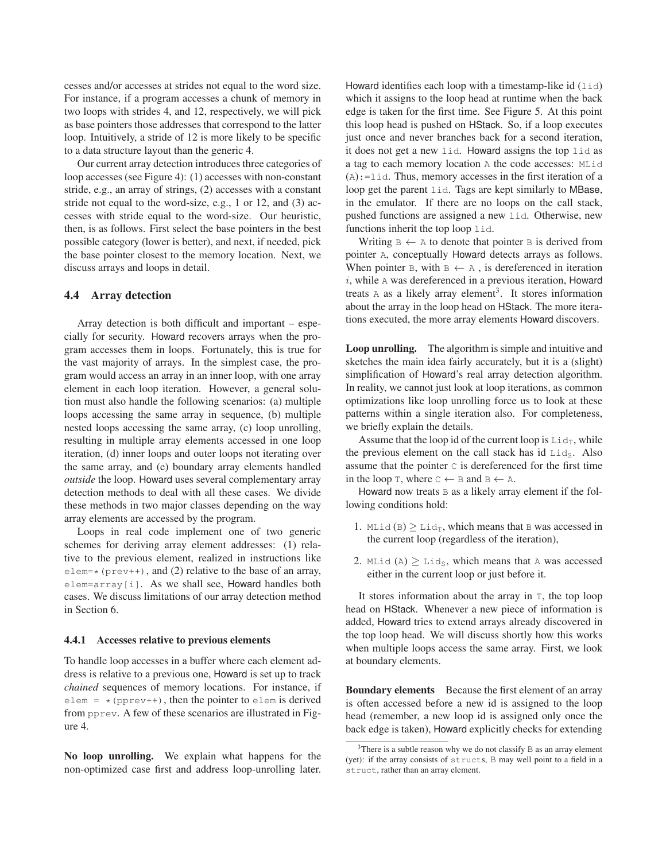cesses and/or accesses at strides not equal to the word size. For instance, if a program accesses a chunk of memory in two loops with strides 4, and 12, respectively, we will pick as base pointers those addresses that correspond to the latter loop. Intuitively, a stride of 12 is more likely to be specific to a data structure layout than the generic 4.

Our current array detection introduces three categories of loop accesses (see Figure 4): (1) accesses with non-constant stride, e.g., an array of strings, (2) accesses with a constant stride not equal to the word-size, e.g., 1 or 12, and (3) accesses with stride equal to the word-size. Our heuristic, then, is as follows. First select the base pointers in the best possible category (lower is better), and next, if needed, pick the base pointer closest to the memory location. Next, we discuss arrays and loops in detail.

#### **4.4 Array detection**

Array detection is both difficult and important – especially for security. Howard recovers arrays when the program accesses them in loops. Fortunately, this is true for the vast majority of arrays. In the simplest case, the program would access an array in an inner loop, with one array element in each loop iteration. However, a general solution must also handle the following scenarios: (a) multiple loops accessing the same array in sequence, (b) multiple nested loops accessing the same array, (c) loop unrolling, resulting in multiple array elements accessed in one loop iteration, (d) inner loops and outer loops not iterating over the same array, and (e) boundary array elements handled *outside* the loop. Howard uses several complementary array detection methods to deal with all these cases. We divide these methods in two major classes depending on the way array elements are accessed by the program.

Loops in real code implement one of two generic schemes for deriving array element addresses: (1) relative to the previous element, realized in instructions like  $\text{element}$  (prev++), and (2) relative to the base of an array, elem=array[i]. As we shall see, Howard handles both cases. We discuss limitations of our array detection method in Section 6.

#### **4.4.1 Accesses relative to previous elements**

To handle loop accesses in a buffer where each element address is relative to a previous one, Howard is set up to track *chained* sequences of memory locations. For instance, if elem =  $*(pprev++)$ , then the pointer to elem is derived from pprev. A few of these scenarios are illustrated in Figure 4.

**No loop unrolling.** We explain what happens for the non-optimized case first and address loop-unrolling later. Howard identifies each loop with a timestamp-like id  $(iid)$ which it assigns to the loop head at runtime when the back edge is taken for the first time. See Figure 5. At this point this loop head is pushed on HStack. So, if a loop executes just once and never branches back for a second iteration, it does not get a new lid. Howard assigns the top lid as a tag to each memory location A the code accesses: MLid (A):=lid. Thus, memory accesses in the first iteration of a loop get the parent lid. Tags are kept similarly to MBase, in the emulator. If there are no loops on the call stack, pushed functions are assigned a new lid. Otherwise, new functions inherit the top loop lid.

Writing  $B \leftarrow A$  to denote that pointer B is derived from pointer A, conceptually Howard detects arrays as follows. When pointer B, with  $B \leftarrow A$ , is dereferenced in iteration  $i$ , while  $A$  was dereferenced in a previous iteration, Howard treats A as a likely array element<sup>3</sup>. It stores information about the array in the loop head on HStack. The more iterations executed, the more array elements Howard discovers.

**Loop unrolling.** The algorithm is simple and intuitive and sketches the main idea fairly accurately, but it is a (slight) simplification of Howard's real array detection algorithm. In reality, we cannot just look at loop iterations, as common optimizations like loop unrolling force us to look at these patterns within a single iteration also. For completeness, we briefly explain the details.

Assume that the loop id of the current loop is  $\text{Lid}_T$ , while the previous element on the call stack has id  $Li<sub>S</sub>$ . Also assume that the pointer C is dereferenced for the first time in the loop T, where  $C \leftarrow B$  and  $B \leftarrow A$ .

Howard now treats  $\overline{B}$  as a likely array element if the following conditions hold:

- 1. MLid (B)  $\geq$  Lid<sub>T</sub>, which means that B was accessed in the current loop (regardless of the iteration),
- 2. MLid (A)  $\geq$  Lid<sub>S</sub>, which means that A was accessed either in the current loop or just before it.

It stores information about the array in T, the top loop head on HStack. Whenever a new piece of information is added, Howard tries to extend arrays already discovered in the top loop head. We will discuss shortly how this works when multiple loops access the same array. First, we look at boundary elements.

**Boundary elements** Because the first element of an array is often accessed before a new id is assigned to the loop head (remember, a new loop id is assigned only once the back edge is taken), Howard explicitly checks for extending

 $3$ There is a subtle reason why we do not classify B as an array element (yet): if the array consists of structs, B may well point to a field in a struct, rather than an array element.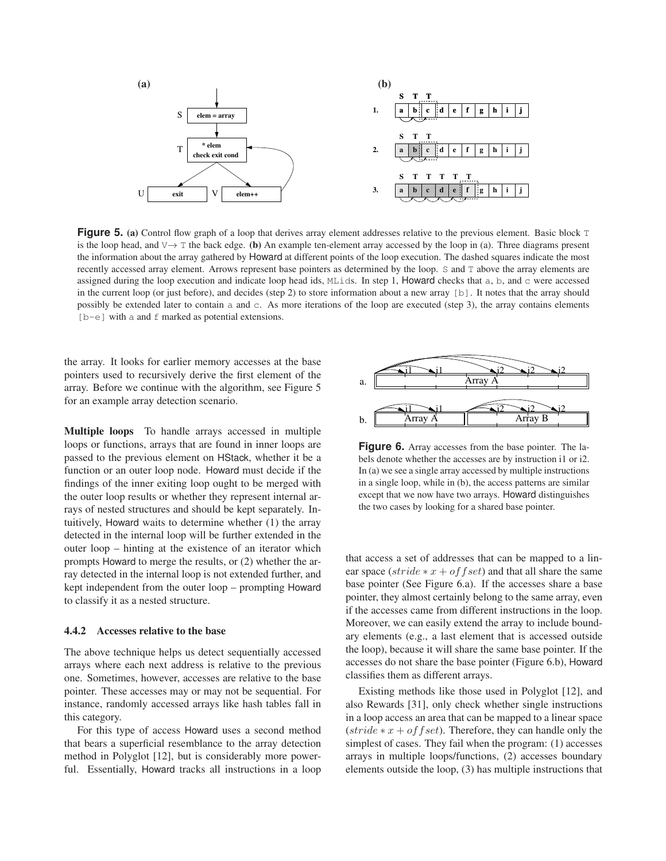

**Figure 5.** (a) Control flow graph of a loop that derives array element addresses relative to the previous element. Basic block T is the loop head, and V→ T the back edge. **(b)** An example ten-element array accessed by the loop in (a). Three diagrams present the information about the array gathered by Howard at different points of the loop execution. The dashed squares indicate the most recently accessed array element. Arrows represent base pointers as determined by the loop. S and T above the array elements are assigned during the loop execution and indicate loop head ids, MLids. In step 1, Howard checks that a, b, and c were accessed in the current loop (or just before), and decides (step 2) to store information about a new array [b]. It notes that the array should possibly be extended later to contain a and c. As more iterations of the loop are executed (step 3), the array contains elements  $[b-e]$  with a and f marked as potential extensions.

the array. It looks for earlier memory accesses at the base pointers used to recursively derive the first element of the array. Before we continue with the algorithm, see Figure 5 for an example array detection scenario.

**Multiple loops** To handle arrays accessed in multiple loops or functions, arrays that are found in inner loops are passed to the previous element on HStack, whether it be a function or an outer loop node. Howard must decide if the findings of the inner exiting loop ought to be merged with the outer loop results or whether they represent internal arrays of nested structures and should be kept separately. Intuitively, Howard waits to determine whether (1) the array detected in the internal loop will be further extended in the outer loop – hinting at the existence of an iterator which prompts Howard to merge the results, or (2) whether the array detected in the internal loop is not extended further, and kept independent from the outer loop – prompting Howard to classify it as a nested structure.

#### **4.4.2 Accesses relative to the base**

The above technique helps us detect sequentially accessed arrays where each next address is relative to the previous one. Sometimes, however, accesses are relative to the base pointer. These accesses may or may not be sequential. For instance, randomly accessed arrays like hash tables fall in this category.

For this type of access Howard uses a second method that bears a superficial resemblance to the array detection method in Polyglot [12], but is considerably more powerful. Essentially, Howard tracks all instructions in a loop



**Figure 6.** Array accesses from the base pointer. The labels denote whether the accesses are by instruction i1 or i2. In (a) we see a single array accessed by multiple instructions in a single loop, while in (b), the access patterns are similar except that we now have two arrays. Howard distinguishes the two cases by looking for a shared base pointer.

that access a set of addresses that can be mapped to a linear space (stride  $*x + of f set$ ) and that all share the same base pointer (See Figure 6.a). If the accesses share a base pointer, they almost certainly belong to the same array, even if the accesses came from different instructions in the loop. Moreover, we can easily extend the array to include boundary elements (e.g., a last element that is accessed outside the loop), because it will share the same base pointer. If the accesses do not share the base pointer (Figure 6.b), Howard classifies them as different arrays.

Existing methods like those used in Polyglot [12], and also Rewards [31], only check whether single instructions in a loop access an area that can be mapped to a linear space  $(\text{stride} * x + \text{offset})$ . Therefore, they can handle only the simplest of cases. They fail when the program: (1) accesses arrays in multiple loops/functions, (2) accesses boundary elements outside the loop, (3) has multiple instructions that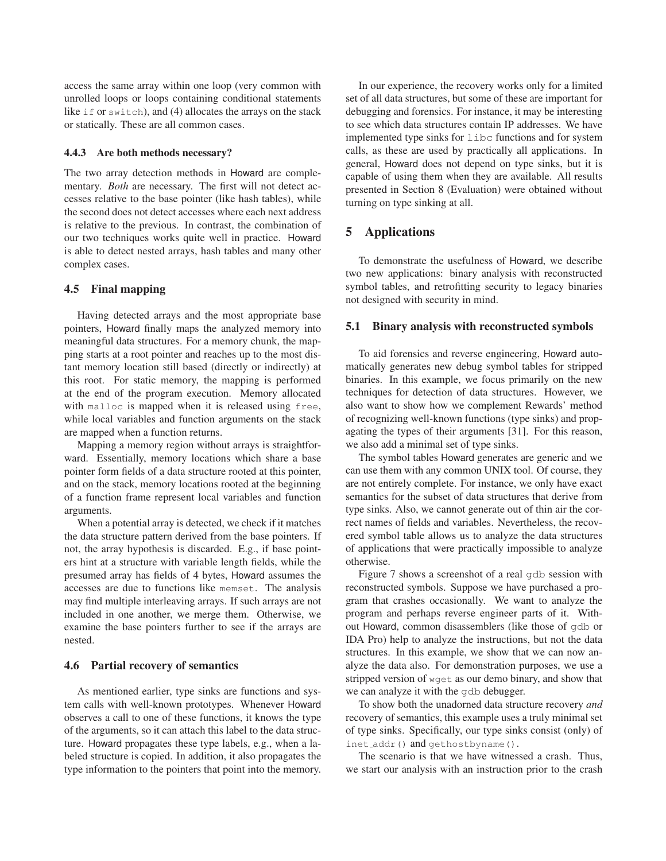access the same array within one loop (very common with unrolled loops or loops containing conditional statements like if or switch), and (4) allocates the arrays on the stack or statically. These are all common cases.

# **4.4.3 Are both methods necessary?**

The two array detection methods in Howard are complementary. *Both* are necessary. The first will not detect accesses relative to the base pointer (like hash tables), while the second does not detect accesses where each next address is relative to the previous. In contrast, the combination of our two techniques works quite well in practice. Howard is able to detect nested arrays, hash tables and many other complex cases.

### **4.5 Final mapping**

Having detected arrays and the most appropriate base pointers, Howard finally maps the analyzed memory into meaningful data structures. For a memory chunk, the mapping starts at a root pointer and reaches up to the most distant memory location still based (directly or indirectly) at this root. For static memory, the mapping is performed at the end of the program execution. Memory allocated with malloc is mapped when it is released using free, while local variables and function arguments on the stack are mapped when a function returns.

Mapping a memory region without arrays is straightforward. Essentially, memory locations which share a base pointer form fields of a data structure rooted at this pointer, and on the stack, memory locations rooted at the beginning of a function frame represent local variables and function arguments.

When a potential array is detected, we check if it matches the data structure pattern derived from the base pointers. If not, the array hypothesis is discarded. E.g., if base pointers hint at a structure with variable length fields, while the presumed array has fields of 4 bytes, Howard assumes the accesses are due to functions like memset. The analysis may find multiple interleaving arrays. If such arrays are not included in one another, we merge them. Otherwise, we examine the base pointers further to see if the arrays are nested.

#### **4.6 Partial recovery of semantics**

As mentioned earlier, type sinks are functions and system calls with well-known prototypes. Whenever Howard observes a call to one of these functions, it knows the type of the arguments, so it can attach this label to the data structure. Howard propagates these type labels, e.g., when a labeled structure is copied. In addition, it also propagates the type information to the pointers that point into the memory.

In our experience, the recovery works only for a limited set of all data structures, but some of these are important for debugging and forensics. For instance, it may be interesting to see which data structures contain IP addresses. We have implemented type sinks for libc functions and for system calls, as these are used by practically all applications. In general, Howard does not depend on type sinks, but it is capable of using them when they are available. All results presented in Section 8 (Evaluation) were obtained without turning on type sinking at all.

## **5 Applications**

To demonstrate the usefulness of Howard, we describe two new applications: binary analysis with reconstructed symbol tables, and retrofitting security to legacy binaries not designed with security in mind.

#### **5.1 Binary analysis with reconstructed symbols**

To aid forensics and reverse engineering, Howard automatically generates new debug symbol tables for stripped binaries. In this example, we focus primarily on the new techniques for detection of data structures. However, we also want to show how we complement Rewards' method of recognizing well-known functions (type sinks) and propagating the types of their arguments [31]. For this reason, we also add a minimal set of type sinks.

The symbol tables Howard generates are generic and we can use them with any common UNIX tool. Of course, they are not entirely complete. For instance, we only have exact semantics for the subset of data structures that derive from type sinks. Also, we cannot generate out of thin air the correct names of fields and variables. Nevertheless, the recovered symbol table allows us to analyze the data structures of applications that were practically impossible to analyze otherwise.

Figure 7 shows a screenshot of a real gdb session with reconstructed symbols. Suppose we have purchased a program that crashes occasionally. We want to analyze the program and perhaps reverse engineer parts of it. Without Howard, common disassemblers (like those of gdb or IDA Pro) help to analyze the instructions, but not the data structures. In this example, we show that we can now analyze the data also. For demonstration purposes, we use a stripped version of wget as our demo binary, and show that we can analyze it with the gdb debugger.

To show both the unadorned data structure recovery *and* recovery of semantics, this example uses a truly minimal set of type sinks. Specifically, our type sinks consist (only) of inet addr() and gethostbyname().

The scenario is that we have witnessed a crash. Thus, we start our analysis with an instruction prior to the crash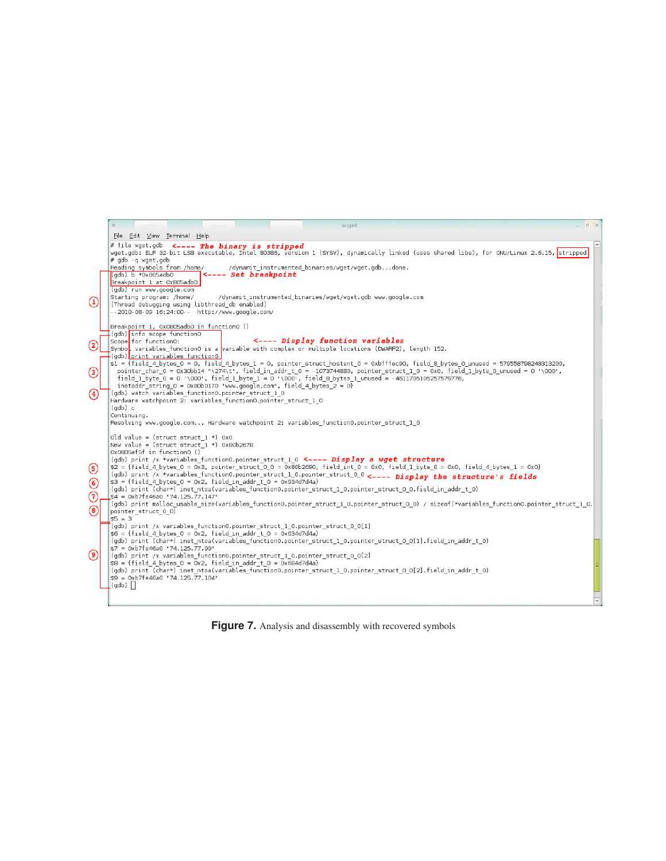|                                           | $\circ$<br>wget                                                                                                                                                                                                                                                                                                                                                                                                                                                                                                                                                                                                                                                                                                                                                                                                                                                                                                                                                                                                                                                                                                                          |                     |
|-------------------------------------------|------------------------------------------------------------------------------------------------------------------------------------------------------------------------------------------------------------------------------------------------------------------------------------------------------------------------------------------------------------------------------------------------------------------------------------------------------------------------------------------------------------------------------------------------------------------------------------------------------------------------------------------------------------------------------------------------------------------------------------------------------------------------------------------------------------------------------------------------------------------------------------------------------------------------------------------------------------------------------------------------------------------------------------------------------------------------------------------------------------------------------------------|---------------------|
|                                           | File Edit View Terminal Help                                                                                                                                                                                                                                                                                                                                                                                                                                                                                                                                                                                                                                                                                                                                                                                                                                                                                                                                                                                                                                                                                                             |                     |
|                                           | # file wget.gdb <---- The binary is stripped<br>wget.gdb: ELF 32-bit LSB executable, Intel 80386, version 1 (SYSV), dynamically linked (uses shared libs), for GNU/Linux 2.6.15, stripped<br># adb - a waet.adb<br>Reading symbols from /home/<br>/dynamit instrumented binaries/wget/wget.gdbdone.<br><---- Set breakpoint<br>(adb) b *0x805adb0<br>Breakpoint 1 at 0x805adb0                                                                                                                                                                                                                                                                                                                                                                                                                                                                                                                                                                                                                                                                                                                                                           | $\hat{\phantom{a}}$ |
| $\circled{1}$                             | (gdb) run www.google.com<br>Starting program: /home/<br>/dynamit instrumented binaries/wget/wget.gdb www.google.com<br>[Thread debugging using libthread db enabled]<br>--2010-08-09 16:24:00-- http://www.google.com/                                                                                                                                                                                                                                                                                                                                                                                                                                                                                                                                                                                                                                                                                                                                                                                                                                                                                                                   |                     |
| $\bf(2)$                                  | Breakpoint 1, 0x0805adb0 in function0 ()<br>(gdb) info scope function0<br><---- Display function variables<br>Scope for function0:<br>Symbol variables function0 is a variable with complex or multiple locations (DWARF2), length 152.<br>(qdb) print variables function0<br>$$1$ = {field 4 bytes 0 = 0, field 4 bytes 1 = 0, pointer struct hostent 0 = 0xbfffec90, field 8 bytes 0 unused = 579558798248313200,<br>pointer char 0 = 0x30bb14 "\274\t", field in addr t 0 = -1073744880, pointer struct 1 0 = 0x0, field 1 byte 0 unused = 0 '\000',                                                                                                                                                                                                                                                                                                                                                                                                                                                                                                                                                                                  |                     |
| $\odot$<br>$\left(4\right)$               | field 1 byte $0 = 0$ '\000', field 1 byte $1 = 0$ '\000', field 8 bytes 1 unused = -4611705105257579776,<br>inetaddr string $0 = 0x80b0170$ "www.google.com", field 4 bytes $2 = 0$ }<br>(gdb) watch variables function0.pointer struct 1 0<br>Hardware watchpoint 2: variables function0.pointer struct 1 0<br>(adb) c<br>Continuing.<br>Resolving www.google.com Hardware watchpoint 2: variables function0.pointer struct 1 0                                                                                                                                                                                                                                                                                                                                                                                                                                                                                                                                                                                                                                                                                                         |                     |
| $\circledcirc$<br>6<br>0<br>$\circled{s}$ | Old value = (struct struct $1 *$ ) 0x0<br>New value = (struct struct $1 *$ ) 0x80b2678<br>Ox0805af5f in function0 ()<br>(qdb) print /x *variables function0.pointer struct 1 0 <---- Display a wget structure<br>\$2 = {field 4 bytes 0 = 0x3, pointer struct 0 0 = 0x80b2690, field int 0 = 0x0, field 1 byte 0 = 0x0, field 4 bytes 1 = 0x0}<br>(gdb) print /x *variables_function0.pointer_struct_1_0.pointer_struct_0_0 <---- Display the structure's fields<br>$$3 = {field 4 bytes 0 = 0x2, field in addr t 0 = 0x934d7d4a}$<br>(qdb) print (char*) inet ntoa(variables function0.pointer struct 1 0.pointer struct 0 0.field in addr t 0)<br>\$4 = 0xb7fe46a0 "74.125.77.147"<br>(gdb) print malloc usable size(variables function0.pointer struct 1 0.pointer struct 0 0) / sizeof(*variables function0.pointer struct 1 0.<br>pointer struct 0 0)<br>$$5 = 3$<br>(gdb) print /x variables function0.pointer struct 1 0.pointer struct 0 0[1]<br>$$6 = {field 4 bytes 0 = 0x2, field in addr t 0 = 0x634d7d4a}$<br>(gdb) print (char*) inet ntoa(variables function0.pointer struct 1 0.pointer struct 0 0[1].field in addr t 0) |                     |
| $\circledcirc$                            | \$7 = 0xb7fe46a0 "74.125.77.99"<br>(gdb) print /x variables function0.pointer struct 1 0.pointer struct 0 0[2]<br>$$8 = {field 4 bytes 0 = 0x2, field in addr t 0 = 0x684d7d4a}$<br>(qdb) print (char*) inet ntoa(variables function0.pointer struct 1 0.pointer struct 0 0[2].field in addr t 0)<br>\$9 = 0xb7fe46a0 "74.125.77.104"<br>(qdb)                                                                                                                                                                                                                                                                                                                                                                                                                                                                                                                                                                                                                                                                                                                                                                                           |                     |

**Figure 7.** Analysis and disassembly with recovered symbols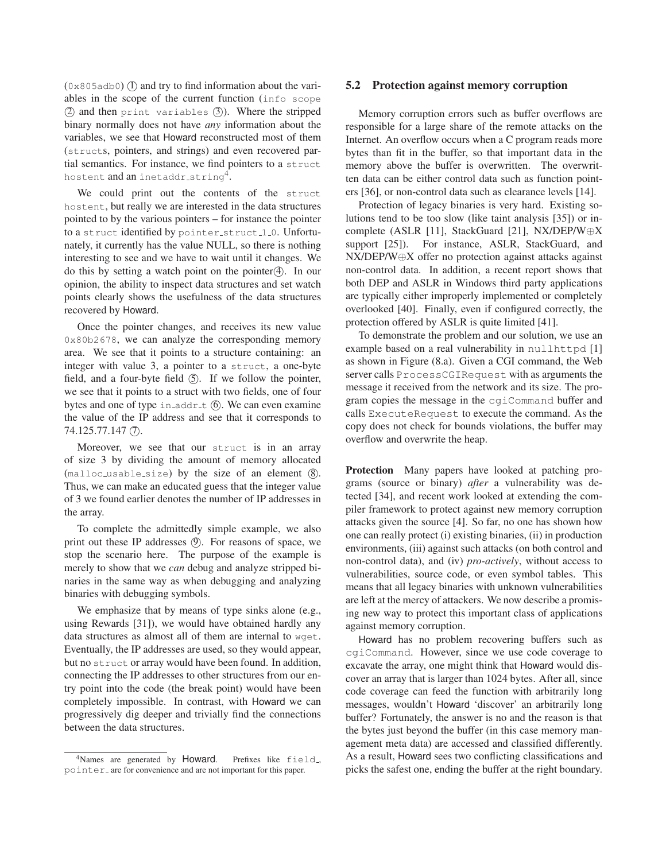$(0 \times 805)$  and try to find information about the variables in the scope of the current function (info scope  $(2)$  and then print variables  $(3)$ ). Where the stripped binary normally does not have *any* information about the variables, we see that Howard reconstructed most of them (structs, pointers, and strings) and even recovered partial semantics. For instance, we find pointers to a struct hostent  $\text{and an } \text{intaddr}\text{-string}^4.$ 

We could print out the contents of the struct hostent, but really we are interested in the data structures pointed to by the various pointers – for instance the pointer to a struct identified by pointer struct 1 0. Unfortunately, it currently has the value NULL, so there is nothing interesting to see and we have to wait until it changes. We do this by setting a watch point on the pointer $(4)$ . In our opinion, the ability to inspect data structures and set watch points clearly shows the usefulness of the data structures recovered by Howard.

Once the pointer changes, and receives its new value 0x80b2678, we can analyze the corresponding memory area. We see that it points to a structure containing: an integer with value 3, a pointer to a struct, a one-byte field, and a four-byte field  $(5)$ . If we follow the pointer, we see that it points to a struct with two fields, one of four bytes and one of type  $\text{in\_addr\_t}$  (6). We can even examine the value of the IP address and see that it corresponds to 74.125.77.147 (7).

Moreover, we see that our struct is in an array of size 3 by dividing the amount of memory allocated  $(malloc_usable_size)$  by the size of an element  $(8)$ . Thus, we can make an educated guess that the integer value of 3 we found earlier denotes the number of IP addresses in the array.

To complete the admittedly simple example, we also print out these IP addresses (9). For reasons of space, we stop the scenario here. The purpose of the example is merely to show that we *can* debug and analyze stripped binaries in the same way as when debugging and analyzing binaries with debugging symbols.

We emphasize that by means of type sinks alone (e.g., using Rewards [31]), we would have obtained hardly any data structures as almost all of them are internal to wget. Eventually, the IP addresses are used, so they would appear, but no struct or array would have been found. In addition, connecting the IP addresses to other structures from our entry point into the code (the break point) would have been completely impossible. In contrast, with Howard we can progressively dig deeper and trivially find the connections between the data structures.

#### **5.2 Protection against memory corruption**

Memory corruption errors such as buffer overflows are responsible for a large share of the remote attacks on the Internet. An overflow occurs when a C program reads more bytes than fit in the buffer, so that important data in the memory above the buffer is overwritten. The overwritten data can be either control data such as function pointers [36], or non-control data such as clearance levels [14].

Protection of legacy binaries is very hard. Existing solutions tend to be too slow (like taint analysis [35]) or incomplete (ASLR [11], StackGuard [21], NX/DEP/W⊕X support [25]). For instance, ASLR, StackGuard, and NX/DEP/W⊕X offer no protection against attacks against non-control data. In addition, a recent report shows that both DEP and ASLR in Windows third party applications are typically either improperly implemented or completely overlooked [40]. Finally, even if configured correctly, the protection offered by ASLR is quite limited [41].

To demonstrate the problem and our solution, we use an example based on a real vulnerability in nullhttpd [1] as shown in Figure (8.a). Given a CGI command, the Web server calls ProcessCGIRequest with as arguments the message it received from the network and its size. The program copies the message in the cgiCommand buffer and calls ExecuteRequest to execute the command. As the copy does not check for bounds violations, the buffer may overflow and overwrite the heap.

**Protection** Many papers have looked at patching programs (source or binary) *after* a vulnerability was detected [34], and recent work looked at extending the compiler framework to protect against new memory corruption attacks given the source [4]. So far, no one has shown how one can really protect (i) existing binaries, (ii) in production environments, (iii) against such attacks (on both control and non-control data), and (iv) *pro-actively*, without access to vulnerabilities, source code, or even symbol tables. This means that all legacy binaries with unknown vulnerabilities are left at the mercy of attackers. We now describe a promising new way to protect this important class of applications against memory corruption.

Howard has no problem recovering buffers such as cgiCommand. However, since we use code coverage to excavate the array, one might think that Howard would discover an array that is larger than 1024 bytes. After all, since code coverage can feed the function with arbitrarily long messages, wouldn't Howard 'discover' an arbitrarily long buffer? Fortunately, the answer is no and the reason is that the bytes just beyond the buffer (in this case memory management meta data) are accessed and classified differently. As a result, Howard sees two conflicting classifications and picks the safest one, ending the buffer at the right boundary.

<sup>&</sup>lt;sup>4</sup>Names are generated by **Howard**. Prefixes like field., pointer are for convenience and are not important for this paper.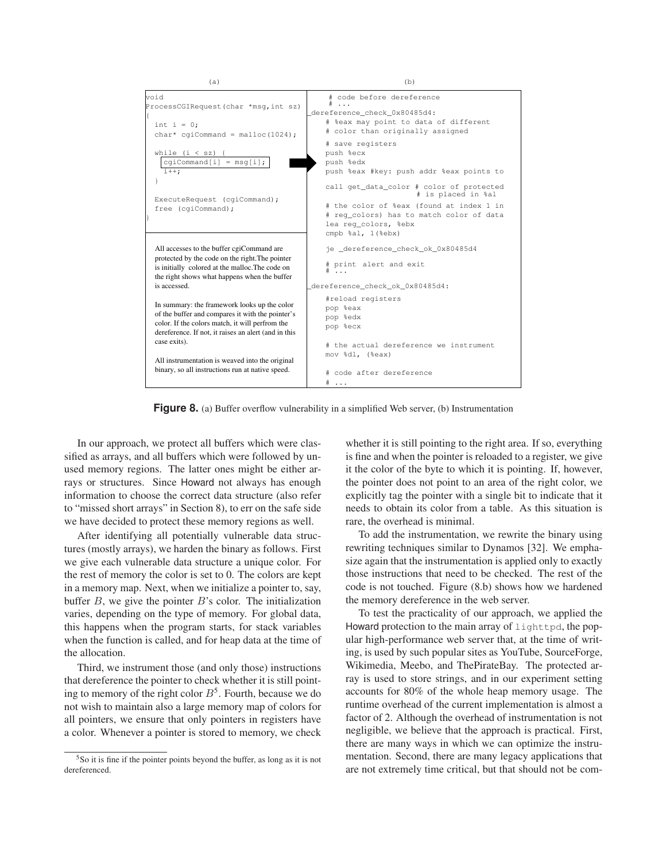

**Figure 8.** (a) Buffer overflow vulnerability in a simplified Web server, (b) Instrumentation

In our approach, we protect all buffers which were classified as arrays, and all buffers which were followed by unused memory regions. The latter ones might be either arrays or structures. Since Howard not always has enough information to choose the correct data structure (also refer to "missed short arrays" in Section 8), to err on the safe side we have decided to protect these memory regions as well.

After identifying all potentially vulnerable data structures (mostly arrays), we harden the binary as follows. First we give each vulnerable data structure a unique color. For the rest of memory the color is set to 0. The colors are kept in a memory map. Next, when we initialize a pointer to, say, buffer  $B$ , we give the pointer  $B$ 's color. The initialization varies, depending on the type of memory. For global data, this happens when the program starts, for stack variables when the function is called, and for heap data at the time of the allocation.

Third, we instrument those (and only those) instructions that dereference the pointer to check whether it is still pointing to memory of the right color  $B^5$ . Fourth, because we do not wish to maintain also a large memory map of colors for all pointers, we ensure that only pointers in registers have a color. Whenever a pointer is stored to memory, we check whether it is still pointing to the right area. If so, everything is fine and when the pointer is reloaded to a register, we give it the color of the byte to which it is pointing. If, however, the pointer does not point to an area of the right color, we explicitly tag the pointer with a single bit to indicate that it needs to obtain its color from a table. As this situation is rare, the overhead is minimal.

To add the instrumentation, we rewrite the binary using rewriting techniques similar to Dynamos [32]. We emphasize again that the instrumentation is applied only to exactly those instructions that need to be checked. The rest of the code is not touched. Figure (8.b) shows how we hardened the memory dereference in the web server.

To test the practicality of our approach, we applied the Howard protection to the main array of lighttpd, the popular high-performance web server that, at the time of writing, is used by such popular sites as YouTube, SourceForge, Wikimedia, Meebo, and ThePirateBay. The protected array is used to store strings, and in our experiment setting accounts for 80% of the whole heap memory usage. The runtime overhead of the current implementation is almost a factor of 2. Although the overhead of instrumentation is not negligible, we believe that the approach is practical. First, there are many ways in which we can optimize the instrumentation. Second, there are many legacy applications that are not extremely time critical, but that should not be com-

<sup>5</sup>So it is fine if the pointer points beyond the buffer, as long as it is not dereferenced.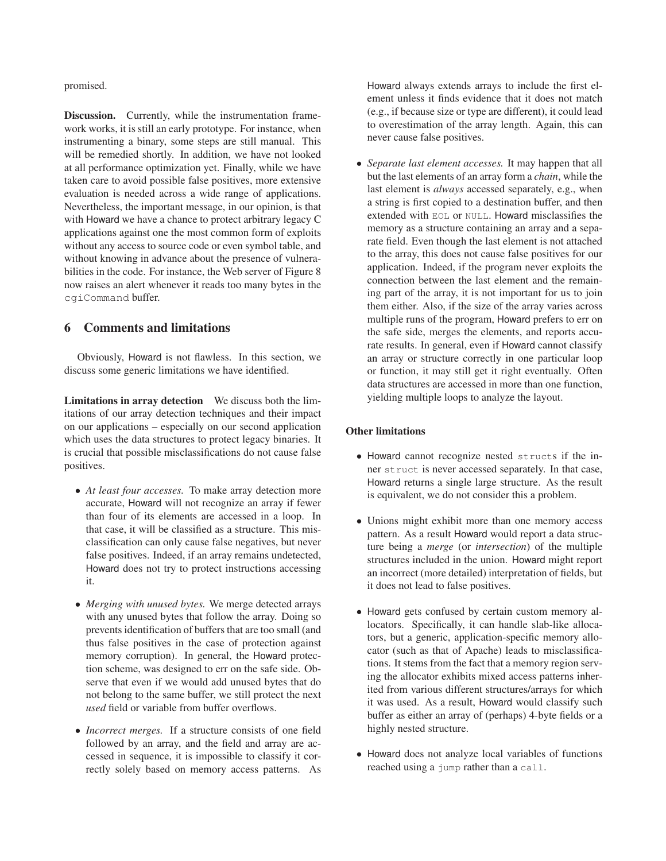promised.

**Discussion.** Currently, while the instrumentation framework works, it is still an early prototype. For instance, when instrumenting a binary, some steps are still manual. This will be remedied shortly. In addition, we have not looked at all performance optimization yet. Finally, while we have taken care to avoid possible false positives, more extensive evaluation is needed across a wide range of applications. Nevertheless, the important message, in our opinion, is that with Howard we have a chance to protect arbitrary legacy C applications against one the most common form of exploits without any access to source code or even symbol table, and without knowing in advance about the presence of vulnerabilities in the code. For instance, the Web server of Figure 8 now raises an alert whenever it reads too many bytes in the cgiCommand buffer.

## **6 Comments and limitations**

Obviously, Howard is not flawless. In this section, we discuss some generic limitations we have identified.

**Limitations in array detection** We discuss both the limitations of our array detection techniques and their impact on our applications – especially on our second application which uses the data structures to protect legacy binaries. It is crucial that possible misclassifications do not cause false positives.

- *At least four accesses.* To make array detection more accurate, Howard will not recognize an array if fewer than four of its elements are accessed in a loop. In that case, it will be classified as a structure. This misclassification can only cause false negatives, but never false positives. Indeed, if an array remains undetected, Howard does not try to protect instructions accessing it.
- *Merging with unused bytes.* We merge detected arrays with any unused bytes that follow the array. Doing so prevents identification of buffers that are too small (and thus false positives in the case of protection against memory corruption). In general, the Howard protection scheme, was designed to err on the safe side. Observe that even if we would add unused bytes that do not belong to the same buffer, we still protect the next *used* field or variable from buffer overflows.
- *Incorrect merges.* If a structure consists of one field followed by an array, and the field and array are accessed in sequence, it is impossible to classify it correctly solely based on memory access patterns. As

Howard always extends arrays to include the first element unless it finds evidence that it does not match (e.g., if because size or type are different), it could lead to overestimation of the array length. Again, this can never cause false positives.

• *Separate last element accesses.* It may happen that all but the last elements of an array form a *chain*, while the last element is *always* accessed separately, e.g., when a string is first copied to a destination buffer, and then extended with EOL or NULL. Howard misclassifies the memory as a structure containing an array and a separate field. Even though the last element is not attached to the array, this does not cause false positives for our application. Indeed, if the program never exploits the connection between the last element and the remaining part of the array, it is not important for us to join them either. Also, if the size of the array varies across multiple runs of the program, Howard prefers to err on the safe side, merges the elements, and reports accurate results. In general, even if Howard cannot classify an array or structure correctly in one particular loop or function, it may still get it right eventually. Often data structures are accessed in more than one function, yielding multiple loops to analyze the layout.

## **Other limitations**

- Howard cannot recognize nested structs if the inner struct is never accessed separately. In that case, Howard returns a single large structure. As the result is equivalent, we do not consider this a problem.
- Unions might exhibit more than one memory access pattern. As a result Howard would report a data structure being a *merge* (or *intersection*) of the multiple structures included in the union. Howard might report an incorrect (more detailed) interpretation of fields, but it does not lead to false positives.
- Howard gets confused by certain custom memory allocators. Specifically, it can handle slab-like allocators, but a generic, application-specific memory allocator (such as that of Apache) leads to misclassifications. It stems from the fact that a memory region serving the allocator exhibits mixed access patterns inherited from various different structures/arrays for which it was used. As a result, Howard would classify such buffer as either an array of (perhaps) 4-byte fields or a highly nested structure.
- Howard does not analyze local variables of functions reached using a jump rather than a call.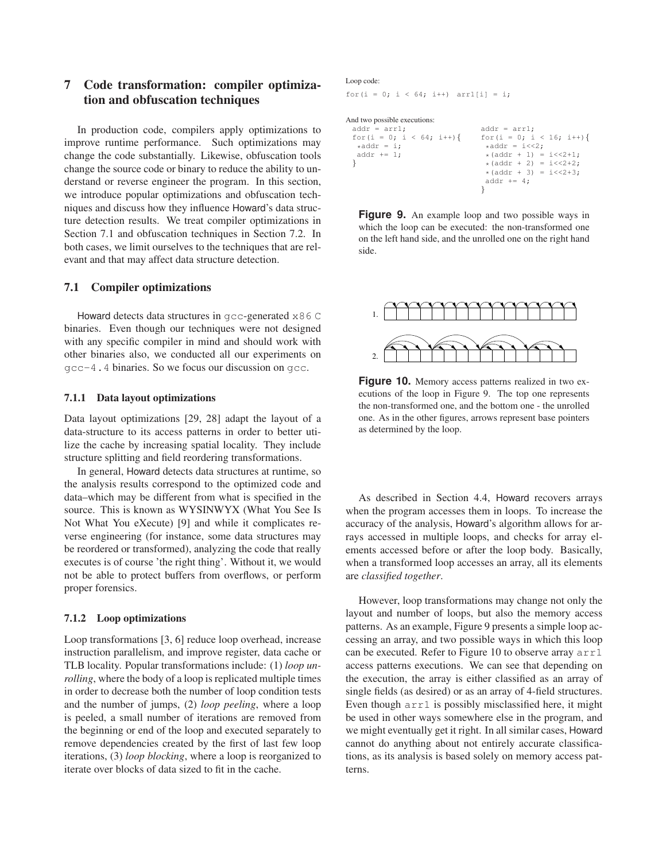# **7 Code transformation: compiler optimization and obfuscation techniques**

In production code, compilers apply optimizations to improve runtime performance. Such optimizations may change the code substantially. Likewise, obfuscation tools change the source code or binary to reduce the ability to understand or reverse engineer the program. In this section, we introduce popular optimizations and obfuscation techniques and discuss how they influence Howard's data structure detection results. We treat compiler optimizations in Section 7.1 and obfuscation techniques in Section 7.2. In both cases, we limit ourselves to the techniques that are relevant and that may affect data structure detection.

## **7.1 Compiler optimizations**

Howard detects data structures in gcc-generated x86 C binaries. Even though our techniques were not designed with any specific compiler in mind and should work with other binaries also, we conducted all our experiments on gcc-4.4 binaries. So we focus our discussion on gcc.

### **7.1.1 Data layout optimizations**

Data layout optimizations [29, 28] adapt the layout of a data-structure to its access patterns in order to better utilize the cache by increasing spatial locality. They include structure splitting and field reordering transformations.

In general, Howard detects data structures at runtime, so the analysis results correspond to the optimized code and data–which may be different from what is specified in the source. This is known as WYSINWYX (What You See Is Not What You eXecute) [9] and while it complicates reverse engineering (for instance, some data structures may be reordered or transformed), analyzing the code that really executes is of course 'the right thing'. Without it, we would not be able to protect buffers from overflows, or perform proper forensics.

#### **7.1.2 Loop optimizations**

Loop transformations [3, 6] reduce loop overhead, increase instruction parallelism, and improve register, data cache or TLB locality. Popular transformations include: (1) *loop unrolling*, where the body of a loop is replicated multiple times in order to decrease both the number of loop condition tests and the number of jumps, (2) *loop peeling*, where a loop is peeled, a small number of iterations are removed from the beginning or end of the loop and executed separately to remove dependencies created by the first of last few loop iterations, (3) *loop blocking*, where a loop is reorganized to iterate over blocks of data sized to fit in the cache.

#### Loop code:

for(i = 0; i < 64; i++)  $\arct[i] = i$ ;

#### And two possible executions:

| $addr = arr1;$             | $addr = arr1;$                |
|----------------------------|-------------------------------|
| for $(i = 0; i < 64; i++)$ | for $(i = 0; i < 16; i++)$    |
| $*addr = i;$               | $*addr = i \lt 2;$            |
| $addr += 1;$               | $*(addr + 1) = i \lt 2 + 1;$  |
|                            | * $(addr + 2) = i \lt 2 + 2;$ |
|                            | $*(addr + 3) = i<<2+3;$       |
|                            | addr $+= 4$ :                 |
|                            |                               |

**Figure 9.** An example loop and two possible ways in which the loop can be executed: the non-transformed one on the left hand side, and the unrolled one on the right hand side.



**Figure 10.** Memory access patterns realized in two executions of the loop in Figure 9. The top one represents the non-transformed one, and the bottom one - the unrolled one. As in the other figures, arrows represent base pointers as determined by the loop.

As described in Section 4.4, Howard recovers arrays when the program accesses them in loops. To increase the accuracy of the analysis, Howard's algorithm allows for arrays accessed in multiple loops, and checks for array elements accessed before or after the loop body. Basically, when a transformed loop accesses an array, all its elements are *classified together*.

However, loop transformations may change not only the layout and number of loops, but also the memory access patterns. As an example, Figure 9 presents a simple loop accessing an array, and two possible ways in which this loop can be executed. Refer to Figure 10 to observe array  $\arctan 1$ access patterns executions. We can see that depending on the execution, the array is either classified as an array of single fields (as desired) or as an array of 4-field structures. Even though  $\arctan 1$  is possibly misclassified here, it might be used in other ways somewhere else in the program, and we might eventually get it right. In all similar cases, Howard cannot do anything about not entirely accurate classifications, as its analysis is based solely on memory access patterns.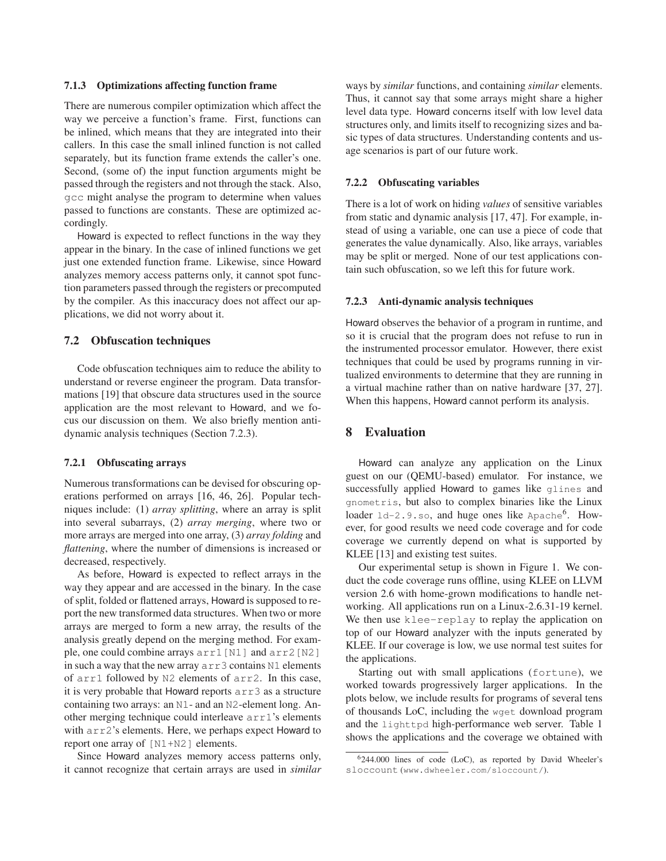#### **7.1.3 Optimizations affecting function frame**

There are numerous compiler optimization which affect the way we perceive a function's frame. First, functions can be inlined, which means that they are integrated into their callers. In this case the small inlined function is not called separately, but its function frame extends the caller's one. Second, (some of) the input function arguments might be passed through the registers and not through the stack. Also, gcc might analyse the program to determine when values passed to functions are constants. These are optimized accordingly.

Howard is expected to reflect functions in the way they appear in the binary. In the case of inlined functions we get just one extended function frame. Likewise, since Howard analyzes memory access patterns only, it cannot spot function parameters passed through the registers or precomputed by the compiler. As this inaccuracy does not affect our applications, we did not worry about it.

### **7.2 Obfuscation techniques**

Code obfuscation techniques aim to reduce the ability to understand or reverse engineer the program. Data transformations [19] that obscure data structures used in the source application are the most relevant to Howard, and we focus our discussion on them. We also briefly mention antidynamic analysis techniques (Section 7.2.3).

## **7.2.1 Obfuscating arrays**

Numerous transformations can be devised for obscuring operations performed on arrays [16, 46, 26]. Popular techniques include: (1) *array splitting*, where an array is split into several subarrays, (2) *array merging*, where two or more arrays are merged into one array, (3) *array folding* and *flattening*, where the number of dimensions is increased or decreased, respectively.

As before, Howard is expected to reflect arrays in the way they appear and are accessed in the binary. In the case of split, folded or flattened arrays, Howard is supposed to report the new transformed data structures. When two or more arrays are merged to form a new array, the results of the analysis greatly depend on the merging method. For example, one could combine arrays arr1[N1] and arr2[N2] in such a way that the new array arr3 contains N1 elements of arr1 followed by N2 elements of arr2. In this case, it is very probable that Howard reports arr3 as a structure containing two arrays: an N1- and an N2-element long. Another merging technique could interleave arr1's elements with  $\arctan 2$ 's elements. Here, we perhaps expect Howard to report one array of [N1+N2] elements.

Since Howard analyzes memory access patterns only, it cannot recognize that certain arrays are used in *similar* ways by *similar* functions, and containing *similar* elements. Thus, it cannot say that some arrays might share a higher level data type. Howard concerns itself with low level data structures only, and limits itself to recognizing sizes and basic types of data structures. Understanding contents and usage scenarios is part of our future work.

#### **7.2.2 Obfuscating variables**

There is a lot of work on hiding *values* of sensitive variables from static and dynamic analysis [17, 47]. For example, instead of using a variable, one can use a piece of code that generates the value dynamically. Also, like arrays, variables may be split or merged. None of our test applications contain such obfuscation, so we left this for future work.

#### **7.2.3 Anti-dynamic analysis techniques**

Howard observes the behavior of a program in runtime, and so it is crucial that the program does not refuse to run in the instrumented processor emulator. However, there exist techniques that could be used by programs running in virtualized environments to determine that they are running in a virtual machine rather than on native hardware [37, 27]. When this happens, Howard cannot perform its analysis.

## **8 Evaluation**

Howard can analyze any application on the Linux guest on our (QEMU-based) emulator. For instance, we successfully applied Howard to games like glines and gnometris, but also to complex binaries like the Linux loader 1d-2.9.so, and huge ones like Apache<sup>6</sup>. However, for good results we need code coverage and for code coverage we currently depend on what is supported by KLEE [13] and existing test suites.

Our experimental setup is shown in Figure 1. We conduct the code coverage runs offline, using KLEE on LLVM version 2.6 with home-grown modifications to handle networking. All applications run on a Linux-2.6.31-19 kernel. We then use klee-replay to replay the application on top of our Howard analyzer with the inputs generated by KLEE. If our coverage is low, we use normal test suites for the applications.

Starting out with small applications (fortune), we worked towards progressively larger applications. In the plots below, we include results for programs of several tens of thousands LoC, including the wget download program and the lighttpd high-performance web server. Table 1 shows the applications and the coverage we obtained with

 $6244.000$  lines of code (LoC), as reported by David Wheeler's sloccount (www.dwheeler.com/sloccount/).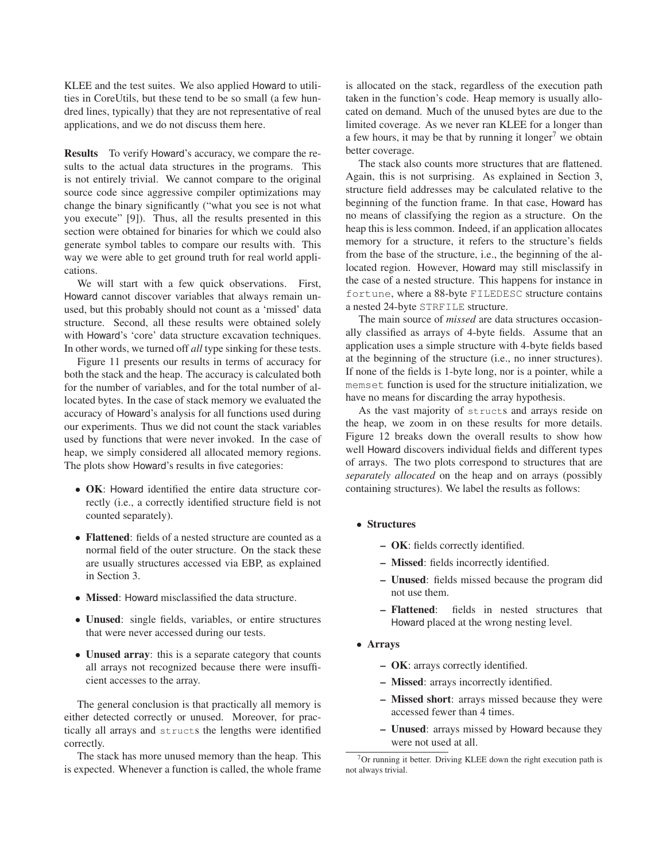KLEE and the test suites. We also applied Howard to utilities in CoreUtils, but these tend to be so small (a few hundred lines, typically) that they are not representative of real applications, and we do not discuss them here.

**Results** To verify Howard's accuracy, we compare the results to the actual data structures in the programs. This is not entirely trivial. We cannot compare to the original source code since aggressive compiler optimizations may change the binary significantly ("what you see is not what you execute" [9]). Thus, all the results presented in this section were obtained for binaries for which we could also generate symbol tables to compare our results with. This way we were able to get ground truth for real world applications.

We will start with a few quick observations. First, Howard cannot discover variables that always remain unused, but this probably should not count as a 'missed' data structure. Second, all these results were obtained solely with Howard's 'core' data structure excavation techniques. In other words, we turned off *all* type sinking for these tests.

Figure 11 presents our results in terms of accuracy for both the stack and the heap. The accuracy is calculated both for the number of variables, and for the total number of allocated bytes. In the case of stack memory we evaluated the accuracy of Howard's analysis for all functions used during our experiments. Thus we did not count the stack variables used by functions that were never invoked. In the case of heap, we simply considered all allocated memory regions. The plots show Howard's results in five categories:

- **OK**: Howard identified the entire data structure correctly (i.e., a correctly identified structure field is not counted separately).
- **Flattened**: fields of a nested structure are counted as a normal field of the outer structure. On the stack these are usually structures accessed via EBP, as explained in Section 3.
- **Missed**: Howard misclassified the data structure.
- **Unused**: single fields, variables, or entire structures that were never accessed during our tests.
- **Unused array**: this is a separate category that counts all arrays not recognized because there were insufficient accesses to the array.

The general conclusion is that practically all memory is either detected correctly or unused. Moreover, for practically all arrays and structs the lengths were identified correctly.

The stack has more unused memory than the heap. This is expected. Whenever a function is called, the whole frame is allocated on the stack, regardless of the execution path taken in the function's code. Heap memory is usually allocated on demand. Much of the unused bytes are due to the limited coverage. As we never ran KLEE for a longer than a few hours, it may be that by running it longer<sup>7</sup> we obtain better coverage.

The stack also counts more structures that are flattened. Again, this is not surprising. As explained in Section 3, structure field addresses may be calculated relative to the beginning of the function frame. In that case, Howard has no means of classifying the region as a structure. On the heap this is less common. Indeed, if an application allocates memory for a structure, it refers to the structure's fields from the base of the structure, i.e., the beginning of the allocated region. However, Howard may still misclassify in the case of a nested structure. This happens for instance in fortune, where a 88-byte FILEDESC structure contains a nested 24-byte STRFILE structure.

The main source of *missed* are data structures occasionally classified as arrays of 4-byte fields. Assume that an application uses a simple structure with 4-byte fields based at the beginning of the structure (i.e., no inner structures). If none of the fields is 1-byte long, nor is a pointer, while a memset function is used for the structure initialization, we have no means for discarding the array hypothesis.

As the vast majority of structs and arrays reside on the heap, we zoom in on these results for more details. Figure 12 breaks down the overall results to show how well Howard discovers individual fields and different types of arrays. The two plots correspond to structures that are *separately allocated* on the heap and on arrays (possibly containing structures). We label the results as follows:

- **Structures**
	- **OK**: fields correctly identified.
	- **Missed**: fields incorrectly identified.
	- **Unused**: fields missed because the program did not use them.
	- **Flattened**: fields in nested structures that Howard placed at the wrong nesting level.
- **Arrays**
	- **OK**: arrays correctly identified.
	- **Missed**: arrays incorrectly identified.
	- **Missed short**: arrays missed because they were accessed fewer than 4 times.
	- **Unused**: arrays missed by Howard because they were not used at all.

 $7$ Or running it better. Driving KLEE down the right execution path is not always trivial.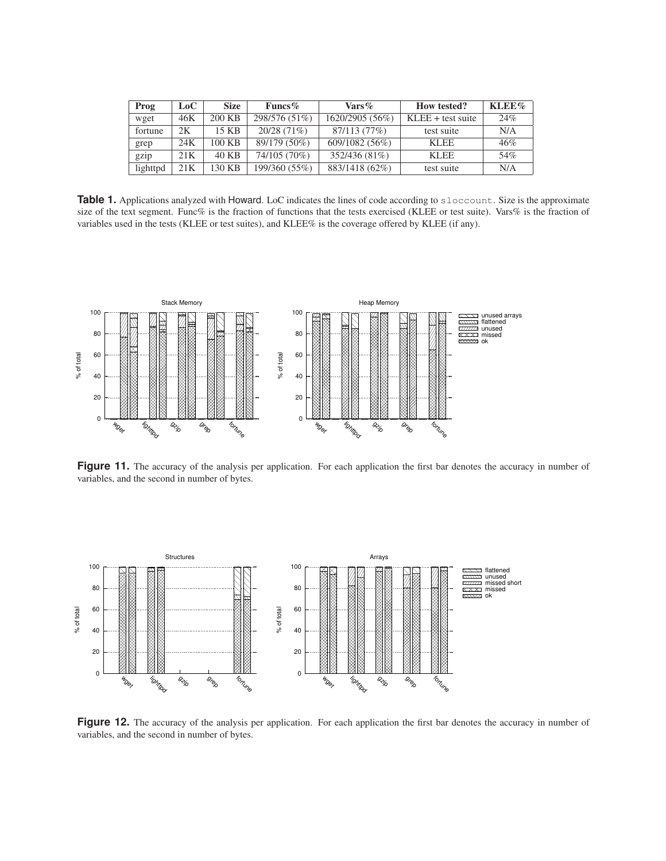| Prog     | $\mathbf{LoC}$ | <b>Size</b> | Funcs $%$     | $\text{Vars}\%$ | <b>How tested?</b>         | KLEE% |
|----------|----------------|-------------|---------------|-----------------|----------------------------|-------|
| wget     | 46K            | 200 KB      | 298/576 (51%) | 1620/2905 (56%) | $KLEE + \text{test suite}$ | 24%   |
| fortune  | 2Κ             | 15 KB       | 20/28(71%)    | 87/113 (77%)    | test suite                 | N/A   |
| grep     | 24K            | 100 KB      | 89/179 (50%)  | 609/1082 (56%)  | <b>KLEE</b>                | 46%   |
| gzip     | 21K            | 40 KB       | 74/105 (70%)  | 352/436 (81%)   | <b>KLEE</b>                | 54%   |
| lighttpd | 21K            | 130 KB      | 199/360 (55%) | 883/1418 (62%)  | test suite                 | N/A   |

**Table 1.** Applications analyzed with Howard. LoC indicates the lines of code according to sloccount. Size is the approximate size of the text segment. Func% is the fraction of functions that the tests exercised (KLEE or test suite). Vars% is the fraction of variables used in the tests (KLEE or test suites), and KLEE% is the coverage offered by KLEE (if any).



Figure 11. The accuracy of the analysis per application. For each application the first bar denotes the accuracy in number of variables, and the second in number of bytes.



Figure 12. The accuracy of the analysis per application. For each application the first bar denotes the accuracy in number of variables, and the second in number of bytes.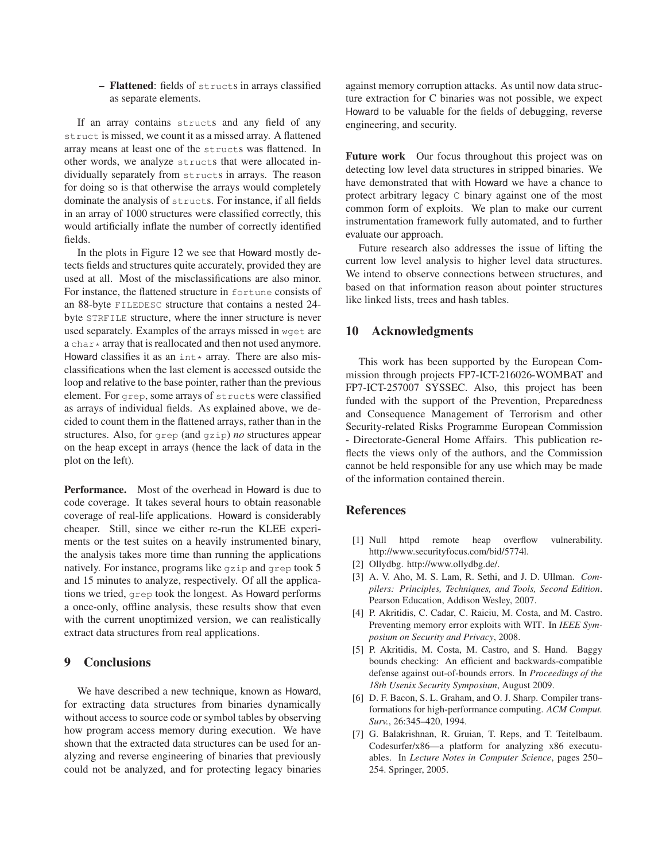**– Flattened**: fields of structs in arrays classified as separate elements.

If an array contains structs and any field of any struct is missed, we count it as a missed array. A flattened array means at least one of the structs was flattened. In other words, we analyze structs that were allocated individually separately from structs in arrays. The reason for doing so is that otherwise the arrays would completely dominate the analysis of structs. For instance, if all fields in an array of 1000 structures were classified correctly, this would artificially inflate the number of correctly identified fields.

In the plots in Figure 12 we see that Howard mostly detects fields and structures quite accurately, provided they are used at all. Most of the misclassifications are also minor. For instance, the flattened structure in fortune consists of an 88-byte FILEDESC structure that contains a nested 24 byte STRFILE structure, where the inner structure is never used separately. Examples of the arrays missed in wget are a char  $*$  array that is reallocated and then not used anymore. Howard classifies it as an  $int*$  array. There are also misclassifications when the last element is accessed outside the loop and relative to the base pointer, rather than the previous element. For grep, some arrays of structs were classified as arrays of individual fields. As explained above, we decided to count them in the flattened arrays, rather than in the structures. Also, for grep (and gzip) *no* structures appear on the heap except in arrays (hence the lack of data in the plot on the left).

**Performance.** Most of the overhead in Howard is due to code coverage. It takes several hours to obtain reasonable coverage of real-life applications. Howard is considerably cheaper. Still, since we either re-run the KLEE experiments or the test suites on a heavily instrumented binary, the analysis takes more time than running the applications natively. For instance, programs like gzip and grep took 5 and 15 minutes to analyze, respectively. Of all the applications we tried, grep took the longest. As Howard performs a once-only, offline analysis, these results show that even with the current unoptimized version, we can realistically extract data structures from real applications.

## **9 Conclusions**

We have described a new technique, known as Howard, for extracting data structures from binaries dynamically without access to source code or symbol tables by observing how program access memory during execution. We have shown that the extracted data structures can be used for analyzing and reverse engineering of binaries that previously could not be analyzed, and for protecting legacy binaries

against memory corruption attacks. As until now data structure extraction for C binaries was not possible, we expect Howard to be valuable for the fields of debugging, reverse engineering, and security.

**Future work** Our focus throughout this project was on detecting low level data structures in stripped binaries. We have demonstrated that with Howard we have a chance to protect arbitrary legacy C binary against one of the most common form of exploits. We plan to make our current instrumentation framework fully automated, and to further evaluate our approach.

Future research also addresses the issue of lifting the current low level analysis to higher level data structures. We intend to observe connections between structures, and based on that information reason about pointer structures like linked lists, trees and hash tables.

# **10 Acknowledgments**

This work has been supported by the European Commission through projects FP7-ICT-216026-WOMBAT and FP7-ICT-257007 SYSSEC. Also, this project has been funded with the support of the Prevention, Preparedness and Consequence Management of Terrorism and other Security-related Risks Programme European Commission - Directorate-General Home Affairs. This publication reflects the views only of the authors, and the Commission cannot be held responsible for any use which may be made of the information contained therein.

## **References**

- [1] Null httpd remote heap overflow vulnerability. http://www.securityfocus.com/bid/5774l.
- [2] Ollydbg. http://www.ollydbg.de/.
- [3] A. V. Aho, M. S. Lam, R. Sethi, and J. D. Ullman. *Compilers: Principles, Techniques, and Tools, Second Edition*. Pearson Education, Addison Wesley, 2007.
- [4] P. Akritidis, C. Cadar, C. Raiciu, M. Costa, and M. Castro. Preventing memory error exploits with WIT. In *IEEE Symposium on Security and Privacy*, 2008.
- [5] P. Akritidis, M. Costa, M. Castro, and S. Hand. Baggy bounds checking: An efficient and backwards-compatible defense against out-of-bounds errors. In *Proceedings of the 18th Usenix Security Symposium*, August 2009.
- [6] D. F. Bacon, S. L. Graham, and O. J. Sharp. Compiler transformations for high-performance computing. *ACM Comput. Surv.*, 26:345–420, 1994.
- [7] G. Balakrishnan, R. Gruian, T. Reps, and T. Teitelbaum. Codesurfer/x86—a platform for analyzing x86 executuables. In *Lecture Notes in Computer Science*, pages 250– 254. Springer, 2005.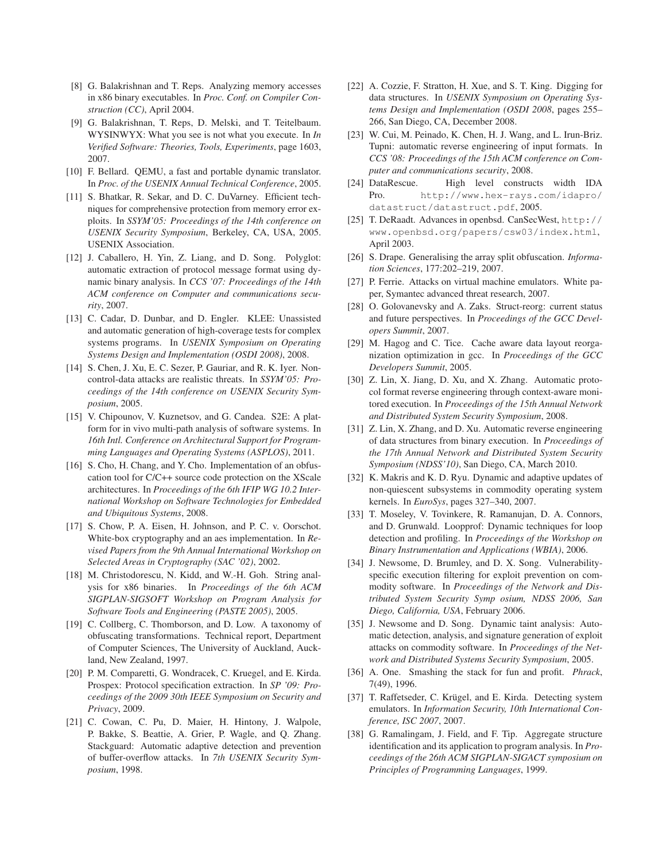- [8] G. Balakrishnan and T. Reps. Analyzing memory accesses in x86 binary executables. In *Proc. Conf. on Compiler Construction (CC)*, April 2004.
- [9] G. Balakrishnan, T. Reps, D. Melski, and T. Teitelbaum. WYSINWYX: What you see is not what you execute. In *In Verified Software: Theories, Tools, Experiments*, page 1603, 2007.
- [10] F. Bellard. QEMU, a fast and portable dynamic translator. In *Proc. of the USENIX Annual Technical Conference*, 2005.
- [11] S. Bhatkar, R. Sekar, and D. C. DuVarney. Efficient techniques for comprehensive protection from memory error exploits. In *SSYM'05: Proceedings of the 14th conference on USENIX Security Symposium*, Berkeley, CA, USA, 2005. USENIX Association.
- [12] J. Caballero, H. Yin, Z. Liang, and D. Song. Polyglot: automatic extraction of protocol message format using dynamic binary analysis. In *CCS '07: Proceedings of the 14th ACM conference on Computer and communications security*, 2007.
- [13] C. Cadar, D. Dunbar, and D. Engler. KLEE: Unassisted and automatic generation of high-coverage tests for complex systems programs. In *USENIX Symposium on Operating Systems Design and Implementation (OSDI 2008)*, 2008.
- [14] S. Chen, J. Xu, E. C. Sezer, P. Gauriar, and R. K. Iver. Noncontrol-data attacks are realistic threats. In *SSYM'05: Proceedings of the 14th conference on USENIX Security Symposium*, 2005.
- [15] V. Chipounov, V. Kuznetsov, and G. Candea. S2E: A platform for in vivo multi-path analysis of software systems. In *16th Intl. Conference on Architectural Support for Programming Languages and Operating Systems (ASPLOS)*, 2011.
- [16] S. Cho, H. Chang, and Y. Cho. Implementation of an obfuscation tool for C/C++ source code protection on the XScale architectures. In *Proceedings of the 6th IFIP WG 10.2 International Workshop on Software Technologies for Embedded and Ubiquitous Systems*, 2008.
- [17] S. Chow, P. A. Eisen, H. Johnson, and P. C. v. Oorschot. White-box cryptography and an aes implementation. In *Revised Papers from the 9th Annual International Workshop on Selected Areas in Cryptography (SAC '02)*, 2002.
- [18] M. Christodorescu, N. Kidd, and W.-H. Goh. String analysis for x86 binaries. In *Proceedings of the 6th ACM SIGPLAN-SIGSOFT Workshop on Program Analysis for Software Tools and Engineering (PASTE 2005)*, 2005.
- [19] C. Collberg, C. Thomborson, and D. Low. A taxonomy of obfuscating transformations. Technical report, Department of Computer Sciences, The University of Auckland, Auckland, New Zealand, 1997.
- [20] P. M. Comparetti, G. Wondracek, C. Kruegel, and E. Kirda. Prospex: Protocol specification extraction. In *SP '09: Proceedings of the 2009 30th IEEE Symposium on Security and Privacy*, 2009.
- [21] C. Cowan, C. Pu, D. Maier, H. Hintony, J. Walpole, P. Bakke, S. Beattie, A. Grier, P. Wagle, and Q. Zhang. Stackguard: Automatic adaptive detection and prevention of buffer-overflow attacks. In *7th USENIX Security Symposium*, 1998.
- [22] A. Cozzie, F. Stratton, H. Xue, and S. T. King. Digging for data structures. In *USENIX Symposium on Operating Systems Design and Implementation (OSDI 2008*, pages 255– 266, San Diego, CA, December 2008.
- [23] W. Cui, M. Peinado, K. Chen, H. J. Wang, and L. Irun-Briz. Tupni: automatic reverse engineering of input formats. In *CCS '08: Proceedings of the 15th ACM conference on Computer and communications security*, 2008.
- [24] DataRescue. High level constructs width IDA Pro. http://www.hex-rays.com/idapro/ datastruct/datastruct.pdf, 2005.
- [25] T. DeRaadt. Advances in openbsd. CanSecWest, http:// www.openbsd.org/papers/csw03/index.html, April 2003.
- [26] S. Drape. Generalising the array split obfuscation. *Information Sciences*, 177:202–219, 2007.
- [27] P. Ferrie. Attacks on virtual machine emulators. White paper, Symantec advanced threat research, 2007.
- [28] O. Golovanevsky and A. Zaks. Struct-reorg: current status and future perspectives. In *Proceedings of the GCC Developers Summit*, 2007.
- [29] M. Hagog and C. Tice. Cache aware data layout reorganization optimization in gcc. In *Proceedings of the GCC Developers Summit*, 2005.
- [30] Z. Lin, X. Jiang, D. Xu, and X. Zhang. Automatic protocol format reverse engineering through context-aware monitored execution. In *Proceedings of the 15th Annual Network and Distributed System Security Symposium*, 2008.
- [31] Z. Lin, X. Zhang, and D. Xu. Automatic reverse engineering of data structures from binary execution. In *Proceedings of the 17th Annual Network and Distributed System Security Symposium (NDSS'10)*, San Diego, CA, March 2010.
- [32] K. Makris and K. D. Ryu. Dynamic and adaptive updates of non-quiescent subsystems in commodity operating system kernels. In *EuroSys*, pages 327–340, 2007.
- [33] T. Moseley, V. Tovinkere, R. Ramanujan, D. A. Connors, and D. Grunwald. Loopprof: Dynamic techniques for loop detection and profiling. In *Proceedings of the Workshop on Binary Instrumentation and Applications (WBIA)*, 2006.
- [34] J. Newsome, D. Brumley, and D. X. Song. Vulnerabilityspecific execution filtering for exploit prevention on commodity software. In *Proceedings of the Network and Distributed System Security Symp osium, NDSS 2006, San Diego, California, USA*, February 2006.
- [35] J. Newsome and D. Song. Dynamic taint analysis: Automatic detection, analysis, and signature generation of exploit attacks on commodity software. In *Proceedings of the Network and Distributed Systems Security Symposium*, 2005.
- [36] A. One. Smashing the stack for fun and profit. *Phrack*, 7(49), 1996.
- [37] T. Raffetseder, C. Krügel, and E. Kirda. Detecting system emulators. In *Information Security, 10th International Conference, ISC 2007*, 2007.
- [38] G. Ramalingam, J. Field, and F. Tip. Aggregate structure identification and its application to program analysis. In *Proceedings of the 26th ACM SIGPLAN-SIGACT symposium on Principles of Programming Languages*, 1999.